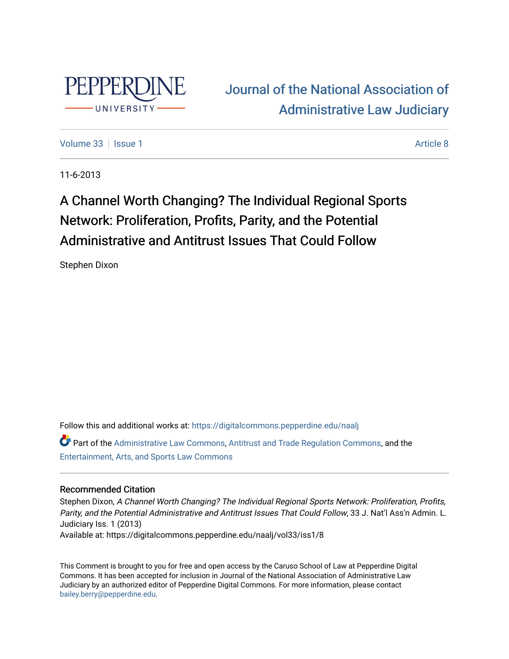

# [Journal of the National Association of](https://digitalcommons.pepperdine.edu/naalj)  [Administrative Law Judiciary](https://digitalcommons.pepperdine.edu/naalj)

[Volume 33](https://digitalcommons.pepperdine.edu/naalj/vol33) | [Issue 1](https://digitalcommons.pepperdine.edu/naalj/vol33/iss1) Article 8

11-6-2013

# A Channel Worth Changing? The Individual Regional Sports Network: Proliferation, Profits, Parity, and the Potential Administrative and Antitrust Issues That Could Follow

Stephen Dixon

Follow this and additional works at: [https://digitalcommons.pepperdine.edu/naalj](https://digitalcommons.pepperdine.edu/naalj?utm_source=digitalcommons.pepperdine.edu%2Fnaalj%2Fvol33%2Fiss1%2F8&utm_medium=PDF&utm_campaign=PDFCoverPages) 

Part of the [Administrative Law Commons,](http://network.bepress.com/hgg/discipline/579?utm_source=digitalcommons.pepperdine.edu%2Fnaalj%2Fvol33%2Fiss1%2F8&utm_medium=PDF&utm_campaign=PDFCoverPages) [Antitrust and Trade Regulation Commons,](http://network.bepress.com/hgg/discipline/911?utm_source=digitalcommons.pepperdine.edu%2Fnaalj%2Fvol33%2Fiss1%2F8&utm_medium=PDF&utm_campaign=PDFCoverPages) and the [Entertainment, Arts, and Sports Law Commons](http://network.bepress.com/hgg/discipline/893?utm_source=digitalcommons.pepperdine.edu%2Fnaalj%2Fvol33%2Fiss1%2F8&utm_medium=PDF&utm_campaign=PDFCoverPages)

## Recommended Citation

Stephen Dixon, A Channel Worth Changing? The Individual Regional Sports Network: Proliferation, Profits, Parity, and the Potential Administrative and Antitrust Issues That Could Follow, 33 J. Nat'l Ass'n Admin. L. Judiciary Iss. 1 (2013) Available at: https://digitalcommons.pepperdine.edu/naalj/vol33/iss1/8

This Comment is brought to you for free and open access by the Caruso School of Law at Pepperdine Digital Commons. It has been accepted for inclusion in Journal of the National Association of Administrative Law Judiciary by an authorized editor of Pepperdine Digital Commons. For more information, please contact [bailey.berry@pepperdine.edu](mailto:bailey.berry@pepperdine.edu).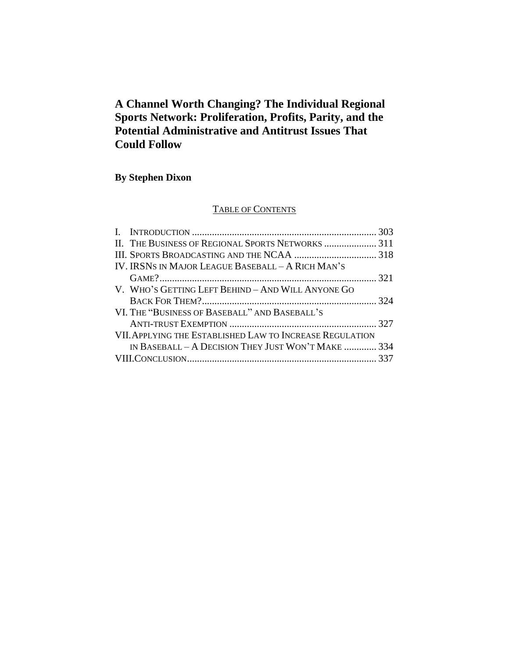# **A Channel Worth Changing? The Individual Regional Sports Network: Proliferation, Profits, Parity, and the Potential Administrative and Antitrust Issues That Could Follow**

# **By Stephen Dixon**

# TABLE OF CONTENTS

| IV. IRSNS IN MAJOR LEAGUE BASEBALL – A RICH MAN'S        |  |
|----------------------------------------------------------|--|
|                                                          |  |
| V. WHO'S GETTING LEFT BEHIND - AND WILL ANYONE GO        |  |
|                                                          |  |
| VI. THE "BUSINESS OF BASEBALL" AND BASEBALL'S            |  |
|                                                          |  |
| VII. APPLYING THE ESTABLISHED LAW TO INCREASE REGULATION |  |
| IN BASEBALL - A DECISION THEY JUST WON'T MAKE  334       |  |
|                                                          |  |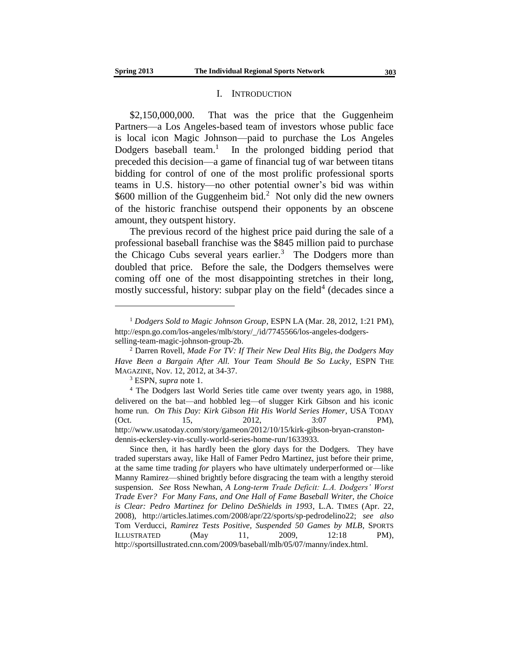#### I. INTRODUCTION

\$2,150,000,000. That was the price that the Guggenheim Partners—a Los Angeles-based team of investors whose public face is local icon Magic Johnson—paid to purchase the Los Angeles Dodgers baseball team.<sup>1</sup> In the prolonged bidding period that preceded this decision—a game of financial tug of war between titans bidding for control of one of the most prolific professional sports teams in U.S. history—no other potential owner's bid was within \$600 million of the Guggenheim bid.<sup>2</sup> Not only did the new owners of the historic franchise outspend their opponents by an obscene amount, they outspent history.

The previous record of the highest price paid during the sale of a professional baseball franchise was the \$845 million paid to purchase the Chicago Cubs several years earlier.<sup>3</sup> The Dodgers more than doubled that price. Before the sale, the Dodgers themselves were coming off one of the most disappointing stretches in their long, mostly successful, history: subpar play on the field<sup>4</sup> (decades since a

<sup>1</sup> *Dodgers Sold to Magic Johnson Group*, ESPN LA (Mar. 28, 2012, 1:21 PM), http://espn.go.com/los-angeles/mlb/story/\_/id/7745566/los-angeles-dodgersselling-team-magic-johnson-group-2b.

<sup>2</sup> Darren Rovell, *Made For TV: If Their New Deal Hits Big, the Dodgers May Have Been a Bargain After All. Your Team Should Be So Lucky*, ESPN THE MAGAZINE, Nov. 12, 2012, at 34-37.

<sup>3</sup> ESPN, *supra* note 1.

<sup>4</sup> The Dodgers last World Series title came over twenty years ago, in 1988, delivered on the bat—and hobbled leg—of slugger Kirk Gibson and his iconic home run. *On This Day: Kirk Gibson Hit His World Series Homer*, USA TODAY (Oct. 15, 2012, 3:07 PM), http://www.usatoday.com/story/gameon/2012/10/15/kirk-gibson-bryan-cranstondennis-eckersley-vin-scully-world-series-home-run/1633933.

Since then, it has hardly been the glory days for the Dodgers. They have traded superstars away, like Hall of Famer Pedro Martinez, just before their prime, at the same time trading *for* players who have ultimately underperformed or—like Manny Ramirez—shined brightly before disgracing the team with a lengthy steroid suspension. *See* Ross Newhan, *A Long-term Trade Deficit: L.A. Dodgers' Worst Trade Ever? For Many Fans, and One Hall of Fame Baseball Writer, the Choice is Clear: Pedro Martinez for Delino DeShields in 1993*, L.A. TIMES (Apr. 22, 2008), http://articles.latimes.com/2008/apr/22/sports/sp-pedrodelino22; *see also*  Tom Verducci, *Ramirez Tests Positive, Suspended 50 Games by MLB*, SPORTS ILLUSTRATED  $(May \t 11, \t 2009, \t 12:18 \t PM),$ http://sportsillustrated.cnn.com/2009/baseball/mlb/05/07/manny/index.html.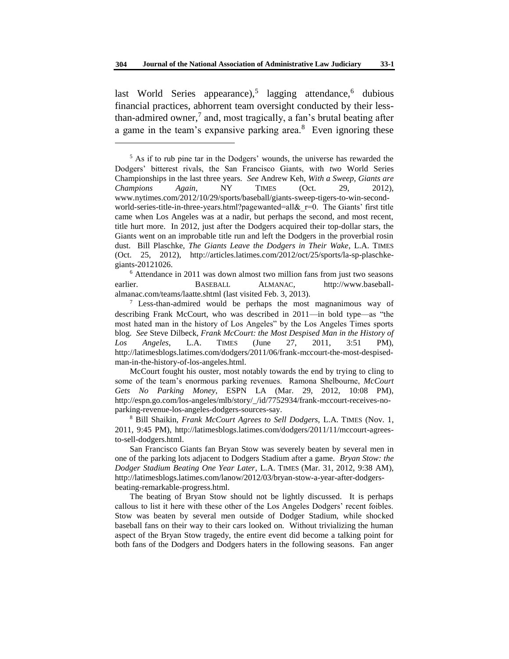last World Series appearance),<sup>5</sup> lagging attendance,<sup>6</sup> dubious financial practices, abhorrent team oversight conducted by their lessthan-admired owner,<sup>7</sup> and, most tragically, a fan's brutal beating after a game in the team's expansive parking area.<sup>8</sup> Even ignoring these

l

<sup>6</sup> Attendance in 2011 was down almost two million fans from just two seasons earlier. BASEBALL ALMANAC, http://www.baseballalmanac.com/teams/laatte.shtml (last visited Feb. 3, 2013).

 $\frac{7}{1}$  Less-than-admired would be perhaps the most magnanimous way of describing Frank McCourt, who was described in 2011—in bold type—as "the most hated man in the history of Los Angeles" by the Los Angeles Times sports blog. *See* Steve Dilbeck, *Frank McCourt: the Most Despised Man in the History of Los Angeles*, L.A. TIMES (June 27, 2011, 3:51 PM), http://latimesblogs.latimes.com/dodgers/2011/06/frank-mccourt-the-most-despisedman-in-the-history-of-los-angeles.html.

McCourt fought his ouster, most notably towards the end by trying to cling to some of the team's enormous parking revenues. Ramona Shelbourne, *McCourt Gets No Parking Money*, ESPN LA (Mar. 29, 2012, 10:08 PM), http://espn.go.com/los-angeles/mlb/story/\_/id/7752934/frank-mccourt-receives-noparking-revenue-los-angeles-dodgers-sources-say.

<sup>8</sup> Bill Shaikin, *Frank McCourt Agrees to Sell Dodgers,* L.A. TIMES (Nov. 1, 2011, 9:45 PM), http://latimesblogs.latimes.com/dodgers/2011/11/mccourt-agreesto-sell-dodgers.html.

San Francisco Giants fan Bryan Stow was severely beaten by several men in one of the parking lots adjacent to Dodgers Stadium after a game. *Bryan Stow: the Dodger Stadium Beating One Year Later*, L.A. TIMES (Mar. 31, 2012, 9:38 AM), http://latimesblogs.latimes.com/lanow/2012/03/bryan-stow-a-year-after-dodgersbeating-remarkable-progress.html.

The beating of Bryan Stow should not be lightly discussed. It is perhaps callous to list it here with these other of the Los Angeles Dodgers' recent foibles. Stow was beaten by several men outside of Dodger Stadium, while shocked baseball fans on their way to their cars looked on. Without trivializing the human aspect of the Bryan Stow tragedy, the entire event did become a talking point for both fans of the Dodgers and Dodgers haters in the following seasons. Fan anger

<sup>5</sup> As if to rub pine tar in the Dodgers' wounds, the universe has rewarded the Dodgers' bitterest rivals, the San Francisco Giants, with *two* World Series Championships in the last three years. *See* Andrew Keh, *With a Sweep, Giants are Champions Again*, NY TIMES (Oct. 29, 2012), www.nytimes.com/2012/10/29/sports/baseball/giants-sweep-tigers-to-win-secondworld-series-title-in-three-years.html?pagewanted=all& r=0. The Giants' first title came when Los Angeles was at a nadir, but perhaps the second, and most recent, title hurt more. In 2012, just after the Dodgers acquired their top-dollar stars, the Giants went on an improbable title run and left the Dodgers in the proverbial rosin dust. Bill Plaschke, *The Giants Leave the Dodgers in Their Wake*, L.A. TIMES (Oct. 25, 2012), http://articles.latimes.com/2012/oct/25/sports/la-sp-plaschkegiants-20121026.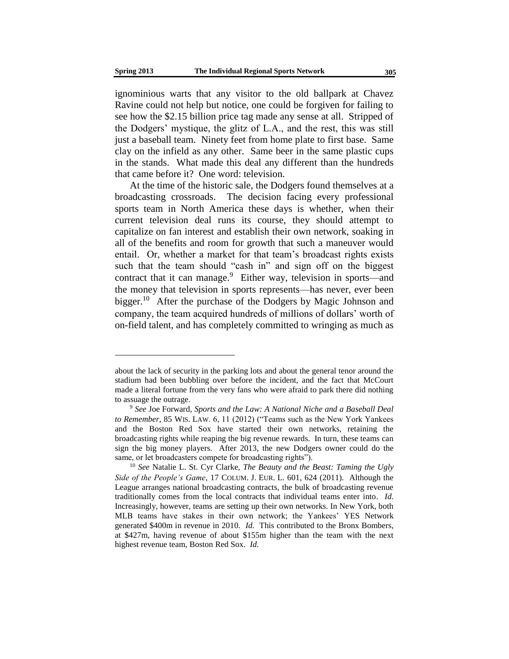ignominious warts that any visitor to the old ballpark at Chavez Ravine could not help but notice, one could be forgiven for failing to see how the \$2.15 billion price tag made any sense at all. Stripped of the Dodgers' mystique, the glitz of L.A., and the rest, this was still just a baseball team. Ninety feet from home plate to first base. Same clay on the infield as any other. Same beer in the same plastic cups in the stands. What made this deal any different than the hundreds that came before it? One word: television.

At the time of the historic sale, the Dodgers found themselves at a broadcasting crossroads. The decision facing every professional sports team in North America these days is whether, when their current television deal runs its course, they should attempt to capitalize on fan interest and establish their own network, soaking in all of the benefits and room for growth that such a maneuver would entail. Or, whether a market for that team's broadcast rights exists such that the team should "cash in" and sign off on the biggest contract that it can manage.<sup>9</sup> Either way, television in sports—and the money that television in sports represents—has never, ever been bigger.<sup>10</sup> After the purchase of the Dodgers by Magic Johnson and company, the team acquired hundreds of millions of dollars' worth of on-field talent, and has completely committed to wringing as much as

about the lack of security in the parking lots and about the general tenor around the stadium had been bubbling over before the incident, and the fact that McCourt made a literal fortune from the very fans who were afraid to park there did nothing to assuage the outrage.

<sup>9</sup> *See* Joe Forward, *Sports and the Law: A National Niche and a Baseball Deal to Remember*, 85 WIS. LAW. 6, 11 (2012) ("Teams such as the New York Yankees and the Boston Red Sox have started their own networks, retaining the broadcasting rights while reaping the big revenue rewards. In turn, these teams can sign the big money players. After 2013, the new Dodgers owner could do the same, or let broadcasters compete for broadcasting rights").

<sup>10</sup> *See* Natalie L. St. Cyr Clarke, *The Beauty and the Beast: Taming the Ugly Side of the People's Game*, 17 COLUM. J. EUR. L. 601, 624 (2011). Although the League arranges national broadcasting contracts, the bulk of broadcasting revenue traditionally comes from the local contracts that individual teams enter into. *Id.* Increasingly, however, teams are setting up their own networks. In New York, both MLB teams have stakes in their own network; the Yankees' YES Network generated \$400m in revenue in 2010*. Id.* This contributed to the Bronx Bombers, at \$427m, having revenue of about \$155m higher than the team with the next highest revenue team, Boston Red Sox. *Id.*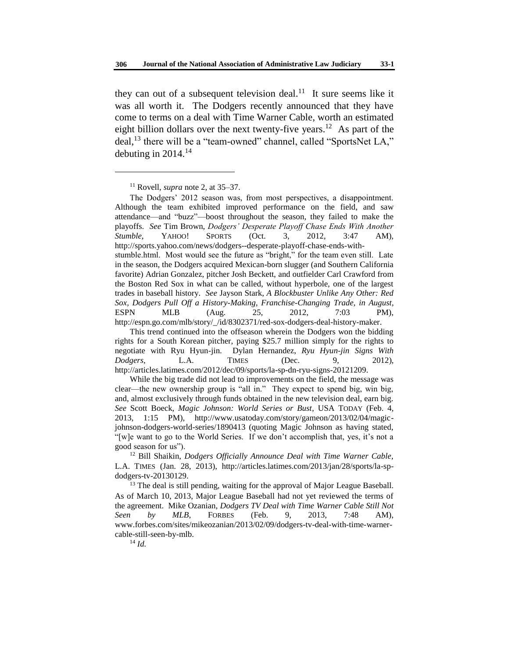they can out of a subsequent television deal.<sup>11</sup> It sure seems like it was all worth it. The Dodgers recently announced that they have come to terms on a deal with Time Warner Cable, worth an estimated eight billion dollars over the next twenty-five years.<sup>12</sup> As part of the deal,<sup>13</sup> there will be a "team-owned" channel, called "SportsNet LA," debuting in  $2014$ .<sup>14</sup>

l

The Dodgers' 2012 season was, from most perspectives, a disappointment. Although the team exhibited improved performance on the field, and saw attendance—and "buzz"—boost throughout the season, they failed to make the playoffs. *See* Tim Brown, *Dodgers' Desperate Playoff Chase Ends With Another Stumble*, YAHOO! SPORTS (Oct. 3, 2012, 3:47 AM), http://sports.yahoo.com/news/dodgers--desperate-playoff-chase-ends-withstumble.html. Most would see the future as "bright," for the team even still. Late in the season, the Dodgers acquired Mexican-born slugger (and Southern California favorite) Adrian Gonzalez, pitcher Josh Beckett, and outfielder Carl Crawford from the Boston Red Sox in what can be called, without hyperbole, one of the largest trades in baseball history. *See* Jayson Stark, *A Blockbuster Unlike Any Other: Red Sox, Dodgers Pull Off a History-Making, Franchise-Changing Trade, in August*, ESPN MLB (Aug. 25, 2012, 7:03 PM), http://espn.go.com/mlb/story/\_/id/8302371/red-sox-dodgers-deal-history-maker.

<sup>14</sup> *Id.*

<sup>11</sup> Rovell, *supra* note 2, at 35–37.

This trend continued into the offseason wherein the Dodgers won the bidding rights for a South Korean pitcher, paying \$25.7 million simply for the rights to negotiate with Ryu Hyun-jin. Dylan Hernandez, *Ryu Hyun-jin Signs With Dodgers*, L.A. TIMES (Dec. 9, 2012), http://articles.latimes.com/2012/dec/09/sports/la-sp-dn-ryu-signs-20121209.

While the big trade did not lead to improvements on the field, the message was clear—the new ownership group is "all in." They expect to spend big, win big, and, almost exclusively through funds obtained in the new television deal, earn big. *See* Scott Boeck, *Magic Johnson: World Series or Bust*, USA TODAY (Feb. 4, 2013, 1:15 PM), http://www.usatoday.com/story/gameon/2013/02/04/magicjohnson-dodgers-world-series/1890413 (quoting Magic Johnson as having stated, "[w]e want to go to the World Series. If we don't accomplish that, yes, it's not a good season for us").

<sup>12</sup> Bill Shaikin, *Dodgers Officially Announce Deal with Time Warner Cable,*  L.A. TIMES (Jan. 28, 2013), http://articles.latimes.com/2013/jan/28/sports/la-spdodgers-tv-20130129.

 $13$  The deal is still pending, waiting for the approval of Major League Baseball. As of March 10, 2013, Major League Baseball had not yet reviewed the terms of the agreement. Mike Ozanian, *Dodgers TV Deal with Time Warner Cable Still Not Seen by MLB*, FORBES (Feb. 9, 2013, 7:48 AM), www.forbes.com/sites/mikeozanian/2013/02/09/dodgers-tv-deal-with-time-warnercable-still-seen-by-mlb.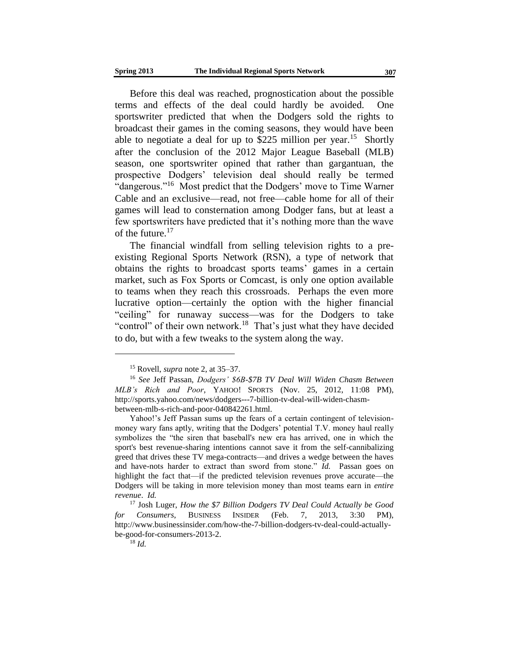Before this deal was reached, prognostication about the possible terms and effects of the deal could hardly be avoided. One sportswriter predicted that when the Dodgers sold the rights to broadcast their games in the coming seasons, they would have been able to negotiate a deal for up to \$225 million per year.<sup>15</sup> Shortly after the conclusion of the 2012 Major League Baseball (MLB) season, one sportswriter opined that rather than gargantuan, the prospective Dodgers' television deal should really be termed "dangerous."<sup>16</sup> Most predict that the Dodgers' move to Time Warner Cable and an exclusive—read, not free—cable home for all of their games will lead to consternation among Dodger fans, but at least a few sportswriters have predicted that it's nothing more than the wave of the future.<sup>17</sup>

The financial windfall from selling television rights to a preexisting Regional Sports Network (RSN), a type of network that obtains the rights to broadcast sports teams' games in a certain market, such as Fox Sports or Comcast, is only one option available to teams when they reach this crossroads. Perhaps the even more lucrative option—certainly the option with the higher financial "ceiling" for runaway success—was for the Dodgers to take "control" of their own network.<sup>18</sup> That's just what they have decided to do, but with a few tweaks to the system along the way.

<sup>15</sup> Rovell, *supra* note 2, at 35–37.

<sup>16</sup> *See* Jeff Passan, *Dodgers' \$6B-\$7B TV Deal Will Widen Chasm Between MLB's Rich and Poor*, YAHOO! SPORTS (Nov. 25, 2012, 11:08 PM), http://sports.yahoo.com/news/dodgers---7-billion-tv-deal-will-widen-chasmbetween-mlb-s-rich-and-poor-040842261.html.

Yahoo!'s Jeff Passan sums up the fears of a certain contingent of televisionmoney wary fans aptly, writing that the Dodgers' potential T.V. money haul really symbolizes the "the siren that baseball's new era has arrived, one in which the sport's best revenue-sharing intentions cannot save it from the self-cannibalizing greed that drives these TV mega-contracts—and drives a wedge between the haves and have-nots harder to extract than sword from stone." *Id.* Passan goes on highlight the fact that—if the predicted television revenues prove accurate—the Dodgers will be taking in more television money than most teams earn in *entire revenue*. *Id.*

<sup>17</sup> Josh Luger, *How the \$7 Billion Dodgers TV Deal Could Actually be Good for Consumers*, BUSINESS INSIDER (Feb. 7, 2013, 3:30 PM), http://www.businessinsider.com/how-the-7-billion-dodgers-tv-deal-could-actuallybe-good-for-consumers-2013-2.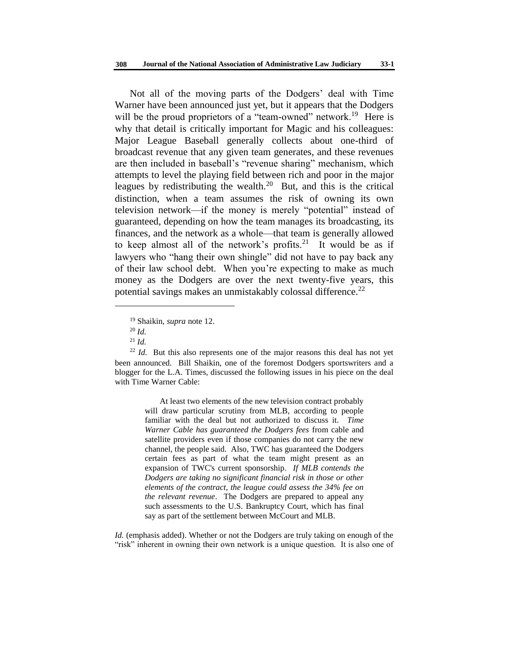Not all of the moving parts of the Dodgers' deal with Time Warner have been announced just yet, but it appears that the Dodgers will be the proud proprietors of a "team-owned" network.<sup>19</sup> Here is why that detail is critically important for Magic and his colleagues: Major League Baseball generally collects about one-third of broadcast revenue that any given team generates, and these revenues are then included in baseball's "revenue sharing" mechanism, which attempts to level the playing field between rich and poor in the major leagues by redistributing the wealth. $20$  But, and this is the critical distinction, when a team assumes the risk of owning its own television network—if the money is merely "potential" instead of guaranteed, depending on how the team manages its broadcasting, its finances, and the network as a whole—that team is generally allowed to keep almost all of the network's profits.<sup>21</sup> It would be as if lawyers who "hang their own shingle" did not have to pay back any of their law school debt. When you're expecting to make as much money as the Dodgers are over the next twenty-five years, this potential savings makes an unmistakably colossal difference.<sup>22</sup>

l

At least two elements of the new television contract probably will draw particular scrutiny from MLB, according to people familiar with the deal but not authorized to discuss it. *Time Warner Cable has guaranteed the Dodgers fees* from cable and satellite providers even if those companies do not carry the new channel, the people said. Also, TWC has guaranteed the Dodgers certain fees as part of what the team might present as an expansion of TWC's current sponsorship. *If MLB contends the Dodgers are taking no significant financial risk in those or other elements of the contract, the league could assess the 34% fee on the relevant revenue*. The Dodgers are prepared to appeal any such assessments to the U.S. Bankruptcy Court, which has final say as part of the settlement between McCourt and MLB.

*Id.* (emphasis added). Whether or not the Dodgers are truly taking on enough of the "risk" inherent in owning their own network is a unique question. It is also one of

<sup>19</sup> Shaikin, *supra* note 12.

<sup>20</sup> *Id.*

<sup>21</sup> *Id.*

 $22$  *Id.* But this also represents one of the major reasons this deal has not yet been announced. Bill Shaikin, one of the foremost Dodgers sportswriters and a blogger for the L.A. Times, discussed the following issues in his piece on the deal with Time Warner Cable: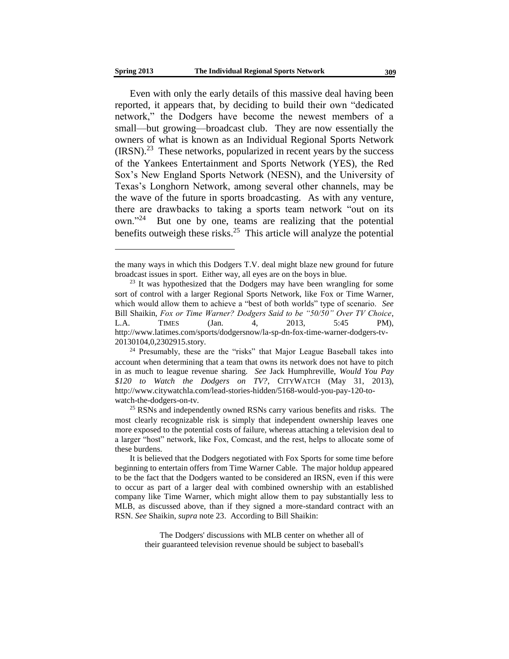Even with only the early details of this massive deal having been reported, it appears that, by deciding to build their own "dedicated network," the Dodgers have become the newest members of a small—but growing—broadcast club. They are now essentially the owners of what is known as an Individual Regional Sports Network  $(IRSN).<sup>23</sup>$  These networks, popularized in recent years by the success of the Yankees Entertainment and Sports Network (YES), the Red Sox's New England Sports Network (NESN), and the University of Texas's Longhorn Network, among several other channels, may be the wave of the future in sports broadcasting. As with any venture, there are drawbacks to taking a sports team network "out on its own."<sup>24</sup> But one by one, teams are realizing that the potential benefits outweigh these risks. $25$  This article will analyze the potential

The Dodgers' discussions with MLB center on whether all of their guaranteed television revenue should be subject to baseball's

the many ways in which this Dodgers T.V. deal might blaze new ground for future broadcast issues in sport. Either way, all eyes are on the boys in blue.

<sup>&</sup>lt;sup>23</sup> It was hypothesized that the Dodgers may have been wrangling for some sort of control with a larger Regional Sports Network, like Fox or Time Warner, which would allow them to achieve a "best of both worlds" type of scenario. *See* Bill Shaikin, *Fox or Time Warner? Dodgers Said to be "50/50" Over TV Choice*, L.A. TIMES (Jan. 4, 2013, 5:45 PM), http://www.latimes.com/sports/dodgersnow/la-sp-dn-fox-time-warner-dodgers-tv-20130104,0,2302915.story.

<sup>&</sup>lt;sup>24</sup> Presumably, these are the "risks" that Major League Baseball takes into account when determining that a team that owns its network does not have to pitch in as much to league revenue sharing. *See* Jack Humphreville, *Would You Pay \$120 to Watch the Dodgers on TV?*, CITYWATCH (May 31, 2013), http://www.citywatchla.com/lead-stories-hidden/5168-would-you-pay-120-towatch-the-dodgers-on-tv.

<sup>&</sup>lt;sup>25</sup> RSNs and independently owned RSNs carry various benefits and risks. The most clearly recognizable risk is simply that independent ownership leaves one more exposed to the potential costs of failure, whereas attaching a television deal to a larger "host" network, like Fox, Comcast, and the rest, helps to allocate some of these burdens.

It is believed that the Dodgers negotiated with Fox Sports for some time before beginning to entertain offers from Time Warner Cable. The major holdup appeared to be the fact that the Dodgers wanted to be considered an IRSN, even if this were to occur as part of a larger deal with combined ownership with an established company like Time Warner, which might allow them to pay substantially less to MLB, as discussed above, than if they signed a more-standard contract with an RSN. *See* Shaikin, *supra* note 23. According to Bill Shaikin: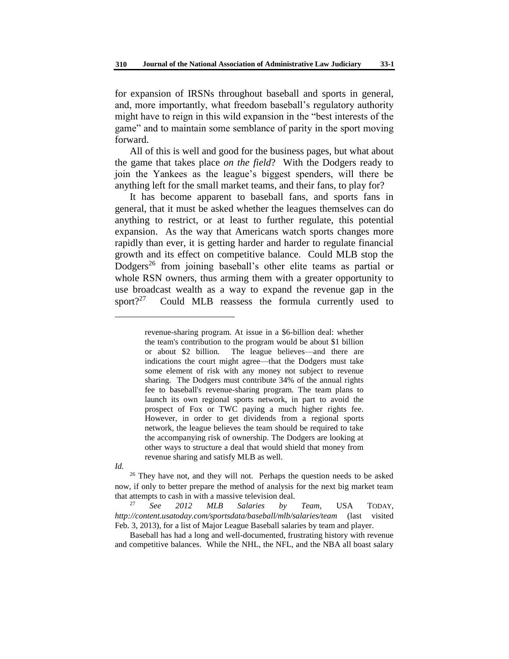for expansion of IRSNs throughout baseball and sports in general, and, more importantly, what freedom baseball's regulatory authority might have to reign in this wild expansion in the "best interests of the game" and to maintain some semblance of parity in the sport moving forward.

All of this is well and good for the business pages, but what about the game that takes place *on the field*? With the Dodgers ready to join the Yankees as the league's biggest spenders, will there be anything left for the small market teams, and their fans, to play for?

It has become apparent to baseball fans, and sports fans in general, that it must be asked whether the leagues themselves can do anything to restrict, or at least to further regulate, this potential expansion. As the way that Americans watch sports changes more rapidly than ever, it is getting harder and harder to regulate financial growth and its effect on competitive balance. Could MLB stop the Dodgers<sup>26</sup> from joining baseball's other elite teams as partial or whole RSN owners, thus arming them with a greater opportunity to use broadcast wealth as a way to expand the revenue gap in the sport $?^{27}$ Could MLB reassess the formula currently used to

*Id.*

revenue-sharing program. At issue in a \$6-billion deal: whether the team's contribution to the program would be about \$1 billion or about \$2 billion. The league believes—and there are indications the court might agree—that the Dodgers must take some element of risk with any money not subject to revenue sharing. The Dodgers must contribute 34% of the annual rights fee to baseball's revenue-sharing program. The team plans to launch its own regional sports network, in part to avoid the prospect of Fox or TWC paying a much higher rights fee. However, in order to get dividends from a regional sports network, the league believes the team should be required to take the accompanying risk of ownership. The Dodgers are looking at other ways to structure a deal that would shield that money from revenue sharing and satisfy MLB as well.

 $26$  They have not, and they will not. Perhaps the question needs to be asked now, if only to better prepare the method of analysis for the next big market team that attempts to cash in with a massive television deal.

<sup>27</sup> *See 2012 MLB Salaries by Team,* USA TODAY, *http://content.usatoday.com/sportsdata/baseball/mlb/salaries/team* (last visited Feb. 3, 2013), for a list of Major League Baseball salaries by team and player.

Baseball has had a long and well-documented, frustrating history with revenue and competitive balances. While the NHL, the NFL, and the NBA all boast salary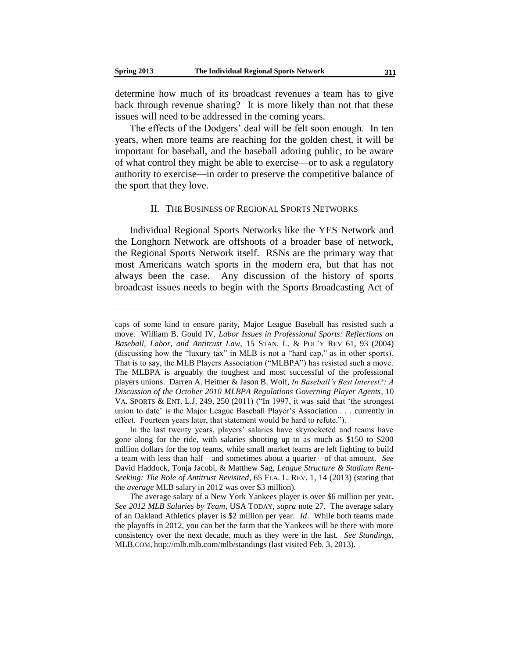determine how much of its broadcast revenues a team has to give back through revenue sharing? It is more likely than not that these issues will need to be addressed in the coming years.

The effects of the Dodgers' deal will be felt soon enough. In ten years, when more teams are reaching for the golden chest, it will be important for baseball, and the baseball adoring public, to be aware of what control they might be able to exercise—or to ask a regulatory authority to exercise—in order to preserve the competitive balance of the sport that they love.

#### II. THE BUSINESS OF REGIONAL SPORTS NETWORKS

Individual Regional Sports Networks like the YES Network and the Longhorn Network are offshoots of a broader base of network, the Regional Sports Network itself. RSNs are the primary way that most Americans watch sports in the modern era, but that has not always been the case. Any discussion of the history of sports broadcast issues needs to begin with the Sports Broadcasting Act of

caps of some kind to ensure parity, Major League Baseball has resisted such a move. William B. Gould IV, *Labor Issues in Professional Sports: Reflections on Baseball, Labor, and Antitrust Law*, 15 STAN. L. & POL'Y REV 61, 93 (2004) (discussing how the "luxury tax" in MLB is not a "hard cap," as in other sports). That is to say, the MLB Players Association ("MLBPA") has resisted such a move. The MLBPA is arguably the toughest and most successful of the professional players unions. Darren A. Heitner & Jason B. Wolf, *In Baseball's Best Interest?: A Discussion of the October 2010 MLBPA Regulations Governing Player Agents*, 10 VA. SPORTS & ENT. L.J. 249, 250 (2011) ("In 1997, it was said that 'the strongest union to date' is the Major League Baseball Player's Association . . . currently in effect. Fourteen years later, that statement would be hard to refute.").

In the last twenty years, players' salaries have skyrocketed and teams have gone along for the ride, with salaries shooting up to as much as \$150 to \$200 million dollars for the top teams, while small market teams are left fighting to build a team with less than half—and sometimes about a quarter—of that amount. *See* David Haddock, Tonja Jacobi, & Matthew Sag, *League Structure & Stadium Rent-Seeking: The Role of Antitrust Revisited*, 65 FLA. L. REV. 1, 14 (2013) (stating that the *average* MLB salary in 2012 was over \$3 million).

The average salary of a New York Yankees player is over \$6 million per year. *See 2012 MLB Salaries by Team*, USA TODAY, *supra* note 27. The average salary of an Oakland Athletics player is \$2 million per year. *Id*. While both teams made the playoffs in 2012, you can bet the farm that the Yankees will be there with more consistency over the next decade, much as they were in the last. *See Standings*, MLB.COM, http://mlb.mlb.com/mlb/standings (last visited Feb. 3, 2013).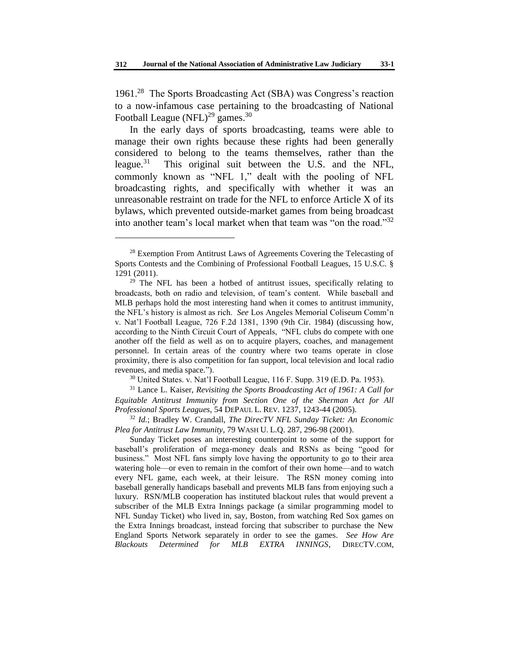1961.<sup>28</sup> The Sports Broadcasting Act (SBA) was Congress's reaction to a now-infamous case pertaining to the broadcasting of National Football League (NFL)<sup>29</sup> games.<sup>30</sup>

In the early days of sports broadcasting, teams were able to manage their own rights because these rights had been generally considered to belong to the teams themselves, rather than the league. $31$  This original suit between the U.S. and the NFL, commonly known as "NFL 1," dealt with the pooling of NFL broadcasting rights, and specifically with whether it was an unreasonable restraint on trade for the NFL to enforce Article X of its bylaws, which prevented outside-market games from being broadcast into another team's local market when that team was "on the road."<sup>32</sup>

l

<sup>30</sup> United States. v. Nat'l Football League, 116 F. Supp. 319 (E.D. Pa. 1953).

<sup>31</sup> Lance L. Kaiser, *Revisiting the Sports Broadcasting Act of 1961: A Call for Equitable Antitrust Immunity from Section One of the Sherman Act for All Professional Sports Leagues*, 54 DEPAUL L. REV. 1237, 1243-44 (2005).

<sup>32</sup> *Id.*; Bradley W. Crandall, *The DirecTV NFL Sunday Ticket: An Economic Plea for Antitrust Law Immunity*, 79 WASH U. L.Q. 287, 296-98 (2001).

Sunday Ticket poses an interesting counterpoint to some of the support for baseball's proliferation of mega-money deals and RSNs as being "good for business." Most NFL fans simply love having the opportunity to go to their area watering hole—or even to remain in the comfort of their own home—and to watch every NFL game, each week, at their leisure. The RSN money coming into baseball generally handicaps baseball and prevents MLB fans from enjoying such a luxury. RSN/MLB cooperation has instituted blackout rules that would prevent a subscriber of the MLB Extra Innings package (a similar programming model to NFL Sunday Ticket) who lived in, say, Boston, from watching Red Sox games on the Extra Innings broadcast, instead forcing that subscriber to purchase the New England Sports Network separately in order to see the games. *See How Are Blackouts Determined for MLB EXTRA INNINGS*, DIRECTV.COM,

<sup>&</sup>lt;sup>28</sup> Exemption From Antitrust Laws of Agreements Covering the Telecasting of Sports Contests and the Combining of Professional Football Leagues, 15 U.S.C. § 1291 (2011).

 $29$  The NFL has been a hotbed of antitrust issues, specifically relating to broadcasts, both on radio and television, of team's content. While baseball and MLB perhaps hold the most interesting hand when it comes to antitrust immunity, the NFL's history is almost as rich. *See* Los Angeles Memorial Coliseum Comm'n v. Nat'l Football League, 726 F.2d 1381, 1390 (9th Cir. 1984) (discussing how, according to the Ninth Circuit Court of Appeals, "NFL clubs do compete with one another off the field as well as on to acquire players, coaches, and management personnel. In certain areas of the country where two teams operate in close proximity, there is also competition for fan support, local television and local radio revenues, and media space.").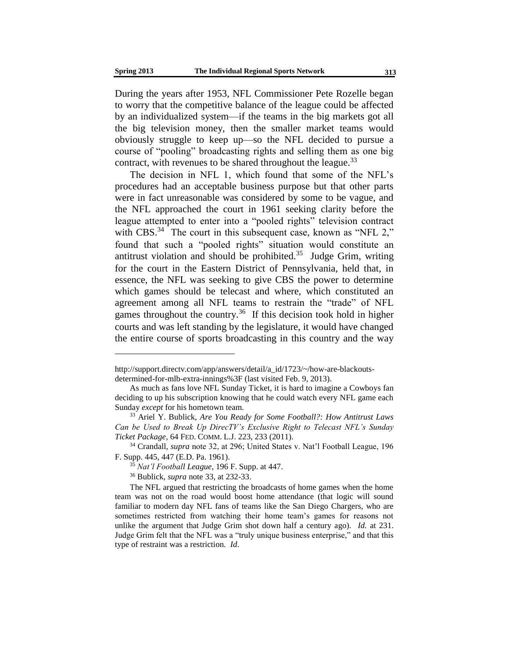During the years after 1953, NFL Commissioner Pete Rozelle began to worry that the competitive balance of the league could be affected by an individualized system—if the teams in the big markets got all the big television money, then the smaller market teams would obviously struggle to keep up—so the NFL decided to pursue a course of "pooling" broadcasting rights and selling them as one big contract, with revenues to be shared throughout the league.  $33$ 

The decision in NFL 1, which found that some of the NFL's procedures had an acceptable business purpose but that other parts were in fact unreasonable was considered by some to be vague, and the NFL approached the court in 1961 seeking clarity before the league attempted to enter into a "pooled rights" television contract with CBS. $34$  The court in this subsequent case, known as "NFL 2," found that such a "pooled rights" situation would constitute an antitrust violation and should be prohibited. $35$  Judge Grim, writing for the court in the Eastern District of Pennsylvania, held that, in essence, the NFL was seeking to give CBS the power to determine which games should be telecast and where, which constituted an agreement among all NFL teams to restrain the "trade" of NFL games throughout the country.<sup>36</sup> If this decision took hold in higher courts and was left standing by the legislature, it would have changed the entire course of sports broadcasting in this country and the way

http://support.directv.com/app/answers/detail/a\_id/1723/~/how-are-blackoutsdetermined-for-mlb-extra-innings%3F (last visited Feb. 9, 2013).

As much as fans love NFL Sunday Ticket, it is hard to imagine a Cowboys fan deciding to up his subscription knowing that he could watch every NFL game each Sunday *except* for his hometown team.

<sup>33</sup> Ariel Y. Bublick, *Are You Ready for Some Football?: How Antitrust Laws Can be Used to Break Up DirecTV's Exclusive Right to Telecast NFL's Sunday Ticket Package*, 64 FED. COMM. L.J. 223, 233 (2011).

<sup>34</sup> Crandall, *supra* note 32, at 296; United States v. Nat'l Football League, 196 F. Supp. 445, 447 (E.D. Pa. 1961).

<sup>35</sup> *Nat'l Football League*, 196 F. Supp. at 447.

<sup>36</sup> Bublick, *supra* note 33, at 232-33.

The NFL argued that restricting the broadcasts of home games when the home team was not on the road would boost home attendance (that logic will sound familiar to modern day NFL fans of teams like the San Diego Chargers, who are sometimes restricted from watching their home team's games for reasons not unlike the argument that Judge Grim shot down half a century ago). *Id.* at 231. Judge Grim felt that the NFL was a "truly unique business enterprise," and that this type of restraint was a restriction. *Id*.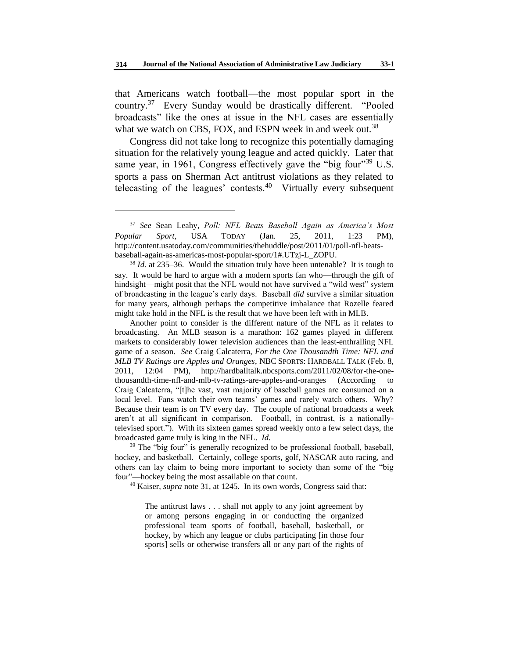that Americans watch football—the most popular sport in the country.<sup>37</sup> Every Sunday would be drastically different. "Pooled broadcasts" like the ones at issue in the NFL cases are essentially what we watch on CBS, FOX, and ESPN week in and week out.<sup>38</sup>

Congress did not take long to recognize this potentially damaging situation for the relatively young league and acted quickly. Later that same year, in 1961, Congress effectively gave the "big four"<sup>39</sup> U.S. sports a pass on Sherman Act antitrust violations as they related to telecasting of the leagues' contests. $40$  Virtually every subsequent

l

Another point to consider is the different nature of the NFL as it relates to broadcasting. An MLB season is a marathon: 162 games played in different markets to considerably lower television audiences than the least-enthralling NFL game of a season. *See* Craig Calcaterra, *For the One Thousandth Time: NFL and MLB TV Ratings are Apples and Oranges*, NBC SPORTS: HARDBALL TALK (Feb. 8, 2011, 12:04 PM), http://hardballtalk.nbcsports.com/2011/02/08/for-the-onethousandth-time-nfl-and-mlb-tv-ratings-are-apples-and-oranges (According to Craig Calcaterra, "[t]he vast, vast majority of baseball games are consumed on a local level. Fans watch their own teams' games and rarely watch others. Why? Because their team is on TV every day. The couple of national broadcasts a week aren't at all significant in comparison. Football, in contrast, is a nationallytelevised sport."). With its sixteen games spread weekly onto a few select days, the broadcasted game truly is king in the NFL. *Id.*

<sup>39</sup> The "big four" is generally recognized to be professional football, baseball, hockey, and basketball. Certainly, college sports, golf, NASCAR auto racing, and others can lay claim to being more important to society than some of the "big four"—hockey being the most assailable on that count.

<sup>40</sup> Kaiser, *supra* note 31, at 1245. In its own words, Congress said that:

The antitrust laws . . . shall not apply to any joint agreement by or among persons engaging in or conducting the organized professional team sports of football, baseball, basketball, or hockey, by which any league or clubs participating [in those four sports] sells or otherwise transfers all or any part of the rights of

<sup>37</sup> *See* Sean Leahy, *Poll: NFL Beats Baseball Again as America's Most Popular Sport*, USA TODAY (Jan. 25, 2011, 1:23 PM), http://content.usatoday.com/communities/thehuddle/post/2011/01/poll-nfl-beatsbaseball-again-as-americas-most-popular-sport/1#.UTzj-L\_ZOPU.

<sup>38</sup> *Id.* at 235–36. Would the situation truly have been untenable? It is tough to say. It would be hard to argue with a modern sports fan who—through the gift of hindsight—might posit that the NFL would not have survived a "wild west" system of broadcasting in the league's early days. Baseball *did* survive a similar situation for many years, although perhaps the competitive imbalance that Rozelle feared might take hold in the NFL is the result that we have been left with in MLB.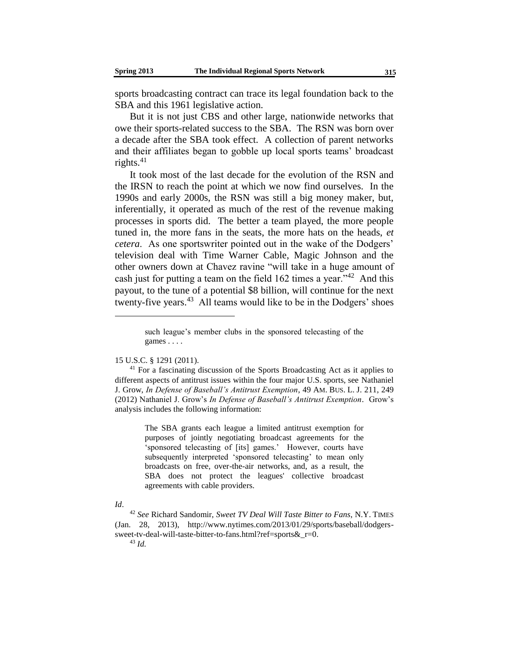sports broadcasting contract can trace its legal foundation back to the SBA and this 1961 legislative action.

But it is not just CBS and other large, nationwide networks that owe their sports-related success to the SBA. The RSN was born over a decade after the SBA took effect. A collection of parent networks and their affiliates began to gobble up local sports teams' broadcast rights. $41$ 

It took most of the last decade for the evolution of the RSN and the IRSN to reach the point at which we now find ourselves. In the 1990s and early 2000s, the RSN was still a big money maker, but, inferentially, it operated as much of the rest of the revenue making processes in sports did. The better a team played, the more people tuned in, the more fans in the seats, the more hats on the heads, *et cetera*. As one sportswriter pointed out in the wake of the Dodgers' television deal with Time Warner Cable, Magic Johnson and the other owners down at Chavez ravine "will take in a huge amount of cash just for putting a team on the field  $162$  times a year."<sup>42</sup> And this payout, to the tune of a potential \$8 billion, will continue for the next twenty-five years.<sup>43</sup> All teams would like to be in the Dodgers' shoes

15 U.S.C. § 1291 (2011).

The SBA grants each league a limited antitrust exemption for purposes of jointly negotiating broadcast agreements for the 'sponsored telecasting of [its] games.' However, courts have subsequently interpreted 'sponsored telecasting' to mean only broadcasts on free, over-the-air networks, and, as a result, the SBA does not protect the leagues' collective broadcast agreements with cable providers.

#### *Id*.

such league's member clubs in the sponsored telecasting of the games . . . .

<sup>&</sup>lt;sup>41</sup> For a fascinating discussion of the Sports Broadcasting Act as it applies to different aspects of antitrust issues within the four major U.S. sports, see Nathaniel J. Grow, *In Defense of Baseball's Antitrust Exemption*, 49 AM. BUS. L. J. 211, 249 (2012) Nathaniel J. Grow's *In Defense of Baseball's Antitrust Exemption*. Grow's analysis includes the following information:

<sup>42</sup> *See* Richard Sandomir, *Sweet TV Deal Will Taste Bitter to Fans*, N.Y. TIMES (Jan. 28, 2013), http://www.nytimes.com/2013/01/29/sports/baseball/dodgerssweet-tv-deal-will-taste-bitter-to-fans.html?ref=sports&r=0.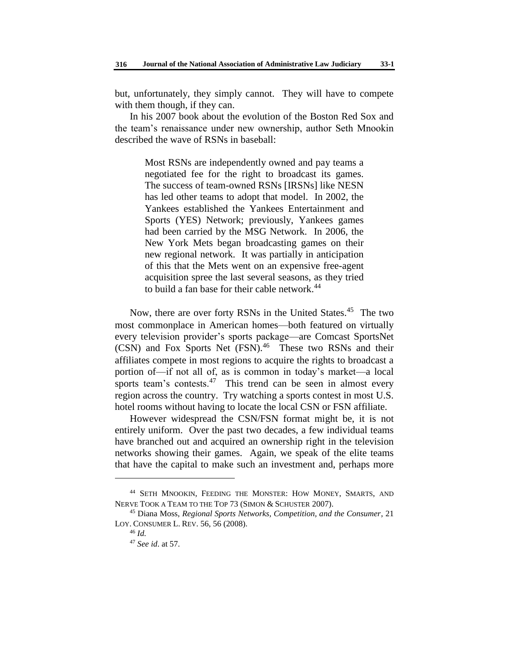but, unfortunately, they simply cannot. They will have to compete with them though, if they can.

In his 2007 book about the evolution of the Boston Red Sox and the team's renaissance under new ownership, author Seth Mnookin described the wave of RSNs in baseball:

> Most RSNs are independently owned and pay teams a negotiated fee for the right to broadcast its games. The success of team-owned RSNs [IRSNs] like NESN has led other teams to adopt that model. In 2002, the Yankees established the Yankees Entertainment and Sports (YES) Network; previously, Yankees games had been carried by the MSG Network. In 2006, the New York Mets began broadcasting games on their new regional network. It was partially in anticipation of this that the Mets went on an expensive free-agent acquisition spree the last several seasons, as they tried to build a fan base for their cable network.<sup>44</sup>

Now, there are over forty RSNs in the United States.<sup>45</sup> The two most commonplace in American homes—both featured on virtually every television provider's sports package—are Comcast SportsNet (CSN) and Fox Sports Net (FSN).<sup>46</sup> These two RSNs and their affiliates compete in most regions to acquire the rights to broadcast a portion of—if not all of, as is common in today's market—a local sports team's contests. $47$  This trend can be seen in almost every region across the country. Try watching a sports contest in most U.S. hotel rooms without having to locate the local CSN or FSN affiliate.

However widespread the CSN/FSN format might be, it is not entirely uniform. Over the past two decades, a few individual teams have branched out and acquired an ownership right in the television networks showing their games. Again, we speak of the elite teams that have the capital to make such an investment and, perhaps more

<sup>44</sup> SETH MNOOKIN, FEEDING THE MONSTER: HOW MONEY, SMARTS, AND NERVE TOOK A TEAM TO THE TOP 73 (SIMON & SCHUSTER 2007).

<sup>45</sup> Diana Moss, *Regional Sports Networks, Competition, and the Consumer*, 21 LOY. CONSUMER L. REV. 56, 56 (2008).

<sup>46</sup> *Id.*

<sup>47</sup> *See id*. at 57*.*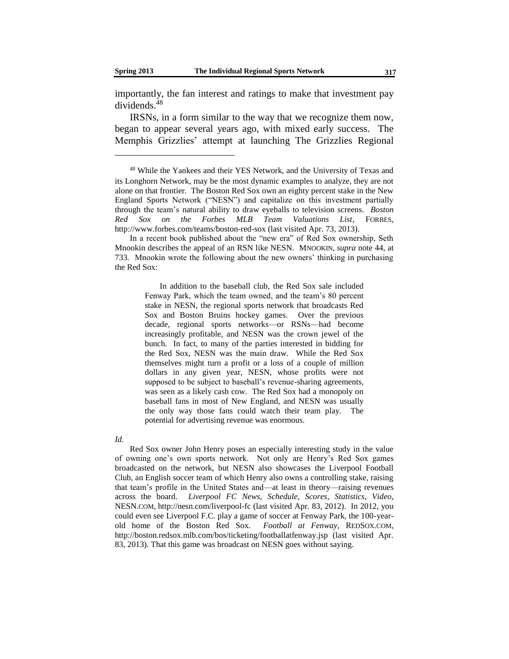importantly, the fan interest and ratings to make that investment pay dividends.<sup>48</sup>

IRSNs, in a form similar to the way that we recognize them now, began to appear several years ago, with mixed early success. The Memphis Grizzlies' attempt at launching The Grizzlies Regional

In a recent book published about the "new era" of Red Sox ownership, Seth Mnookin describes the appeal of an RSN like NESN. MNOOKIN, *supra* note 44, at 733. Mnookin wrote the following about the new owners' thinking in purchasing the Red Sox:

> In addition to the baseball club, the Red Sox sale included Fenway Park, which the team owned, and the team's 80 percent stake in NESN, the regional sports network that broadcasts Red Sox and Boston Bruins hockey games. Over the previous decade, regional sports networks—or RSNs—had become increasingly profitable, and NESN was the crown jewel of the bunch. In fact, to many of the parties interested in bidding for the Red Sox, NESN was the main draw. While the Red Sox themselves might turn a profit or a loss of a couple of million dollars in any given year, NESN, whose profits were not supposed to be subject to baseball's revenue-sharing agreements, was seen as a likely cash cow. The Red Sox had a monopoly on baseball fans in most of New England, and NESN was usually the only way those fans could watch their team play. The potential for advertising revenue was enormous.

*Id.*

Red Sox owner John Henry poses an especially interesting study in the value of owning one's own sports network. Not only are Henry's Red Sox games broadcasted on the network, but NESN also showcases the Liverpool Football Club, an English soccer team of which Henry also owns a controlling stake, raising that team's profile in the United States and—at least in theory—raising revenues across the board. *Liverpool FC News, Schedule, Scores, Statistics, Video*, NESN.COM, http://nesn.com/liverpool-fc (last visited Apr. 83, 2012). In 2012, you could even see Liverpool F.C. play a game of soccer at Fenway Park, the 100-yearold home of the Boston Red Sox. *Football at Fenway*, REDSOX.COM, http://boston.redsox.mlb.com/bos/ticketing/footballatfenway.jsp (last visited Apr. 83, 2013). That this game was broadcast on NESN goes without saying.

<sup>48</sup> While the Yankees and their YES Network, and the University of Texas and its Longhorn Network, may be the most dynamic examples to analyze, they are not alone on that frontier. The Boston Red Sox own an eighty percent stake in the New England Sports Network ("NESN") and capitalize on this investment partially through the team's natural ability to draw eyeballs to television screens. *Boston Red Sox on the Forbes MLB Team Valuations List*, FORBES, http://www.forbes.com/teams/boston-red-sox (last visited Apr. 73, 2013).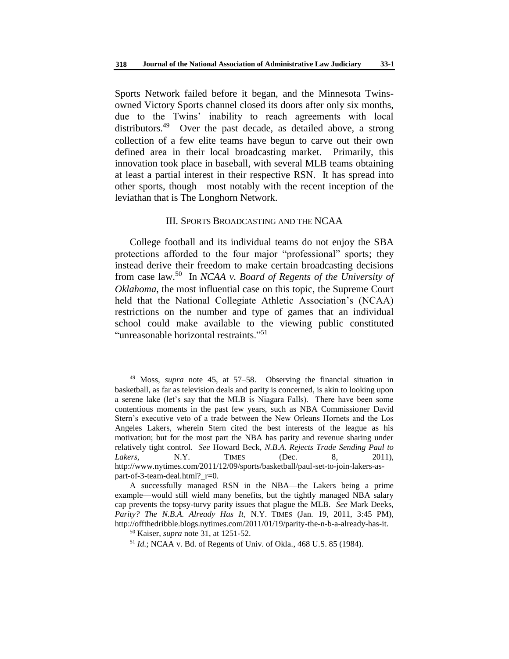Sports Network failed before it began, and the Minnesota Twinsowned Victory Sports channel closed its doors after only six months, due to the Twins' inability to reach agreements with local distributors.<sup>49</sup> Over the past decade, as detailed above, a strong collection of a few elite teams have begun to carve out their own defined area in their local broadcasting market. Primarily, this innovation took place in baseball, with several MLB teams obtaining at least a partial interest in their respective RSN. It has spread into other sports, though—most notably with the recent inception of the leviathan that is The Longhorn Network.

### III. SPORTS BROADCASTING AND THE NCAA

College football and its individual teams do not enjoy the SBA protections afforded to the four major "professional" sports; they instead derive their freedom to make certain broadcasting decisions from case law.<sup>50</sup> In *NCAA v. Board of Regents of the University of Oklahoma*, the most influential case on this topic, the Supreme Court held that the National Collegiate Athletic Association's (NCAA) restrictions on the number and type of games that an individual school could make available to the viewing public constituted "unreasonable horizontal restraints."<sup>51</sup>

<sup>49</sup> Moss, *supra* note 45, at 57–58. Observing the financial situation in basketball, as far as television deals and parity is concerned, is akin to looking upon a serene lake (let's say that the MLB is Niagara Falls). There have been some contentious moments in the past few years, such as NBA Commissioner David Stern's executive veto of a trade between the New Orleans Hornets and the Los Angeles Lakers, wherein Stern cited the best interests of the league as his motivation; but for the most part the NBA has parity and revenue sharing under relatively tight control. *See* Howard Beck, *N.B.A. Rejects Trade Sending Paul to Lakers*, **N.Y. TIMES** (Dec. 8, 2011), http://www.nytimes.com/2011/12/09/sports/basketball/paul-set-to-join-lakers-aspart-of-3-team-deal.html?\_r=0.

A successfully managed RSN in the NBA—the Lakers being a prime example—would still wield many benefits, but the tightly managed NBA salary cap prevents the topsy-turvy parity issues that plague the MLB. *See* Mark Deeks, *Parity? The N.B.A. Already Has It*, N.Y. TIMES (Jan. 19, 2011, 3:45 PM), http://offthedribble.blogs.nytimes.com/2011/01/19/parity-the-n-b-a-already-has-it.

<sup>50</sup> Kaiser, *supra* note 31, at 1251-52.

<sup>51</sup> *Id.*; NCAA v. Bd. of Regents of Univ. of Okla*.*, 468 U.S. 85 (1984).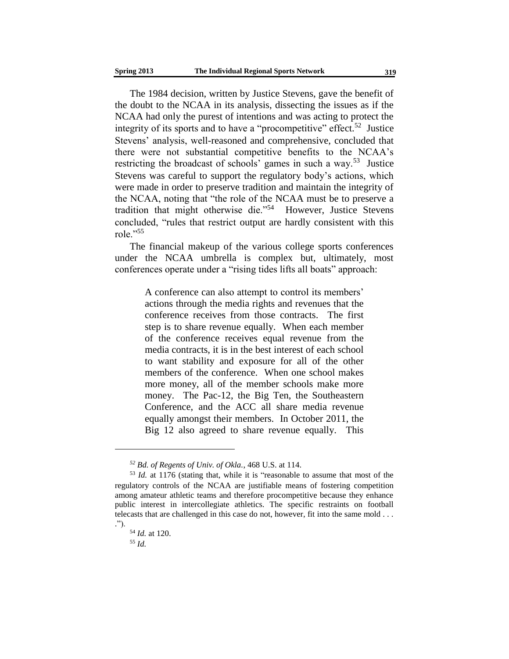The 1984 decision, written by Justice Stevens, gave the benefit of the doubt to the NCAA in its analysis, dissecting the issues as if the NCAA had only the purest of intentions and was acting to protect the integrity of its sports and to have a "procompetitive" effect.<sup>52</sup> Justice Stevens' analysis, well-reasoned and comprehensive, concluded that there were not substantial competitive benefits to the NCAA's restricting the broadcast of schools' games in such a way.<sup>53</sup> Justice Stevens was careful to support the regulatory body's actions, which were made in order to preserve tradition and maintain the integrity of the NCAA, noting that "the role of the NCAA must be to preserve a tradition that might otherwise die."<sup>54</sup> However, Justice Stevens concluded, "rules that restrict output are hardly consistent with this role."<sup>55</sup>

The financial makeup of the various college sports conferences under the NCAA umbrella is complex but, ultimately, most conferences operate under a "rising tides lifts all boats" approach:

> A conference can also attempt to control its members' actions through the media rights and revenues that the conference receives from those contracts. The first step is to share revenue equally. When each member of the conference receives equal revenue from the media contracts, it is in the best interest of each school to want stability and exposure for all of the other members of the conference. When one school makes more money, all of the member schools make more money. The Pac-12, the Big Ten, the Southeastern Conference, and the ACC all share media revenue equally amongst their members. In October 2011, the Big 12 also agreed to share revenue equally. This

*<sup>52</sup> Bd. of Regents of Univ. of Okla.*, 468 U.S. at 114.

<sup>53</sup> *Id.* at 1176 (stating that, while it is "reasonable to assume that most of the regulatory controls of the NCAA are justifiable means of fostering competition among amateur athletic teams and therefore procompetitive because they enhance public interest in intercollegiate athletics. The specific restraints on football telecasts that are challenged in this case do not, however, fit into the same mold . . . .").

<sup>54</sup> *Id.* at 120.

<sup>55</sup> *Id.*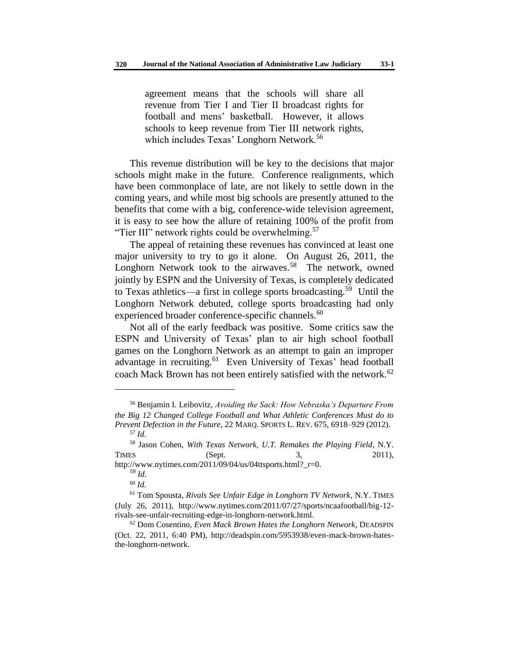agreement means that the schools will share all revenue from Tier I and Tier II broadcast rights for football and mens' basketball. However, it allows schools to keep revenue from Tier III network rights, which includes Texas' Longhorn Network.<sup>56</sup>

This revenue distribution will be key to the decisions that major schools might make in the future. Conference realignments, which have been commonplace of late, are not likely to settle down in the coming years, and while most big schools are presently attuned to the benefits that come with a big, conference-wide television agreement, it is easy to see how the allure of retaining 100% of the profit from "Tier III" network rights could be overwhelming. $57$ 

The appeal of retaining these revenues has convinced at least one major university to try to go it alone. On August 26, 2011, the Longhorn Network took to the airwaves.<sup>58</sup> The network, owned jointly by ESPN and the University of Texas, is completely dedicated to Texas athletics—a first in college sports broadcasting.<sup>59</sup> Until the Longhorn Network debuted, college sports broadcasting had only experienced broader conference-specific channels.<sup>60</sup>

Not all of the early feedback was positive. Some critics saw the ESPN and University of Texas' plan to air high school football games on the Longhorn Network as an attempt to gain an improper advantage in recruiting.<sup>61</sup> Even University of Texas' head football coach Mack Brown has not been entirely satisfied with the network.<sup>62</sup>

http://www.nytimes.com/2011/09/04/us/04ttsports.html?\_r=0. <sup>59</sup> *Id.*

<sup>56</sup> Benjamin I. Leibovitz, *Avoiding the Sack: How Nebraska's Departure From the Big 12 Changed College Football and What Athletic Conferences Must do to Prevent Defection in the Future*, 22 MARQ. SPORTS L. REV. 675, 6918–929 (2012). <sup>57</sup> *Id.*

<sup>58</sup> Jason Cohen, *With Texas Network, U.T. Remakes the Playing Field*, N.Y. TIMES (Sept. 3, 2011),

<sup>60</sup> *Id.*

<sup>61</sup> Tom Spousta, *Rivals See Unfair Edge in Longhorn TV Network*, N.Y. TIMES (July 26, 2011), http://www.nytimes.com/2011/07/27/sports/ncaafootball/big-12 rivals-see-unfair-recruiting-edge-in-longhorn-network.html.

<sup>62</sup> Dom Cosentino, *Even Mack Brown Hates the Longhorn Network*, DEADSPIN (Oct. 22, 2011, 6:40 PM), http://deadspin.com/5953938/even-mack-brown-hatesthe-longhorn-network.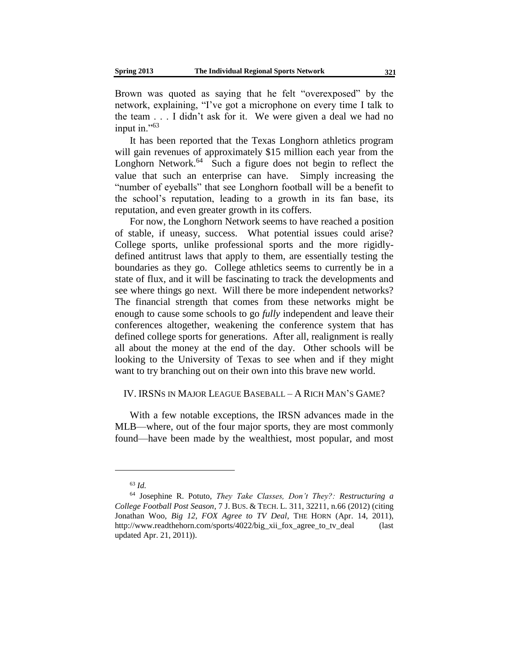Brown was quoted as saying that he felt "overexposed" by the network, explaining, "I've got a microphone on every time I talk to the team . . . I didn't ask for it. We were given a deal we had no input in."<sup>63</sup>

It has been reported that the Texas Longhorn athletics program will gain revenues of approximately \$15 million each year from the Longhorn Network.<sup>64</sup> Such a figure does not begin to reflect the value that such an enterprise can have. Simply increasing the "number of eyeballs" that see Longhorn football will be a benefit to the school's reputation, leading to a growth in its fan base, its reputation, and even greater growth in its coffers.

For now, the Longhorn Network seems to have reached a position of stable, if uneasy, success. What potential issues could arise? College sports, unlike professional sports and the more rigidlydefined antitrust laws that apply to them, are essentially testing the boundaries as they go. College athletics seems to currently be in a state of flux, and it will be fascinating to track the developments and see where things go next. Will there be more independent networks? The financial strength that comes from these networks might be enough to cause some schools to go *fully* independent and leave their conferences altogether, weakening the conference system that has defined college sports for generations. After all, realignment is really all about the money at the end of the day. Other schools will be looking to the University of Texas to see when and if they might want to try branching out on their own into this brave new world.

## IV. IRSNS IN MAJOR LEAGUE BASEBALL – A RICH MAN'S GAME?

With a few notable exceptions, the IRSN advances made in the MLB—where, out of the four major sports, they are most commonly found—have been made by the wealthiest, most popular, and most

<sup>63</sup> *Id.*

<sup>64</sup> Josephine R. Potuto, *They Take Classes, Don't They?: Restructuring a College Football Post Season*, 7 J. BUS. & TECH. L. 311, 32211, n.66 (2012) (citing Jonathan Woo, *Big 12, FOX Agree to TV Deal*, THE HORN (Apr. 14, 2011), http://www.readthehorn.com/sports/4022/big\_xii\_fox\_agree\_to\_tv\_deal (last updated Apr. 21, 2011)).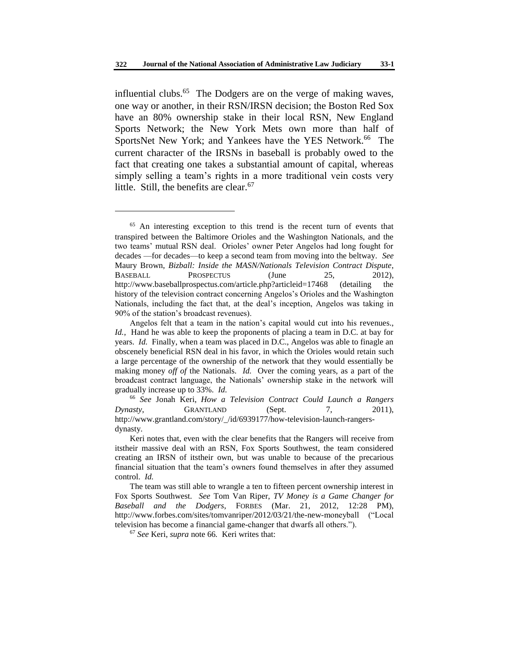influential clubs.<sup>65</sup> The Dodgers are on the verge of making waves, one way or another, in their RSN/IRSN decision; the Boston Red Sox have an 80% ownership stake in their local RSN, New England Sports Network; the New York Mets own more than half of SportsNet New York; and Yankees have the YES Network.<sup>66</sup> The current character of the IRSNs in baseball is probably owed to the fact that creating one takes a substantial amount of capital, whereas simply selling a team's rights in a more traditional vein costs very little. Still, the benefits are clear.  $67$ 

l

<sup>67</sup> *See* Keri, *supra* note 66*.* Keri writes that:

<sup>&</sup>lt;sup>65</sup> An interesting exception to this trend is the recent turn of events that transpired between the Baltimore Orioles and the Washington Nationals, and the two teams' mutual RSN deal. Orioles' owner Peter Angelos had long fought for decades —for decades—to keep a second team from moving into the beltway. *See* Maury Brown, *Bizball: Inside the MASN/Nationals Television Contract Dispute*, BASEBALL PROSPECTUS (June 25, 2012), http://www.baseballprospectus.com/article.php?articleid=17468 (detailing the history of the television contract concerning Angelos's Orioles and the Washington Nationals, including the fact that, at the deal's inception, Angelos was taking in 90% of the station's broadcast revenues).

Angelos felt that a team in the nation's capital would cut into his revenues., *Id.*, Hand he was able to keep the proponents of placing a team in D.C. at bay for years. *Id.* Finally, when a team was placed in D.C., Angelos was able to finagle an obscenely beneficial RSN deal in his favor, in which the Orioles would retain such a large percentage of the ownership of the network that they would essentially be making money *off of* the Nationals. *Id.* Over the coming years, as a part of the broadcast contract language, the Nationals' ownership stake in the network will gradually increase up to 33%. *Id.*

<sup>66</sup> *See* Jonah Keri, *How a Television Contract Could Launch a Rangers Dynasty*, GRANTLAND (Sept. 7, 2011), http://www.grantland.com/story/\_/id/6939177/how-television-launch-rangersdynasty.

Keri notes that, even with the clear benefits that the Rangers will receive from itstheir massive deal with an RSN, Fox Sports Southwest, the team considered creating an IRSN of itstheir own, but was unable to because of the precarious financial situation that the team's owners found themselves in after they assumed control. *Id.*

The team was still able to wrangle a ten to fifteen percent ownership interest in Fox Sports Southwest. *See* Tom Van Riper, *TV Money is a Game Changer for Baseball and the Dodgers*, FORBES (Mar. 21, 2012, 12:28 PM), http://www.forbes.com/sites/tomvanriper/2012/03/21/the-new-moneyball ("Local television has become a financial game-changer that dwarfs all others.").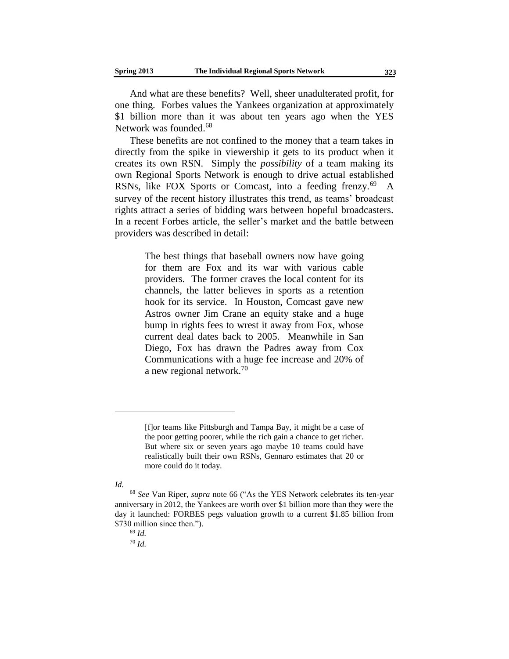And what are these benefits? Well, sheer unadulterated profit, for one thing. Forbes values the Yankees organization at approximately \$1 billion more than it was about ten years ago when the YES Network was founded.<sup>68</sup>

These benefits are not confined to the money that a team takes in directly from the spike in viewership it gets to its product when it creates its own RSN. Simply the *possibility* of a team making its own Regional Sports Network is enough to drive actual established RSNs, like FOX Sports or Comcast, into a feeding frenzy.<sup>69</sup> A survey of the recent history illustrates this trend, as teams' broadcast rights attract a series of bidding wars between hopeful broadcasters. In a recent Forbes article, the seller's market and the battle between providers was described in detail:

> The best things that baseball owners now have going for them are Fox and its war with various cable providers. The former craves the local content for its channels, the latter believes in sports as a retention hook for its service. In Houston, Comcast gave new Astros owner Jim Crane an equity stake and a huge bump in rights fees to wrest it away from Fox, whose current deal dates back to 2005. Meanwhile in San Diego, Fox has drawn the Padres away from Cox Communications with a huge fee increase and 20% of a new regional network.<sup>70</sup>

*Id.*

<sup>[</sup>f]or teams like Pittsburgh and Tampa Bay, it might be a case of the poor getting poorer, while the rich gain a chance to get richer. But where six or seven years ago maybe 10 teams could have realistically built their own RSNs, Gennaro estimates that 20 or more could do it today.

<sup>68</sup> *See* Van Riper, *supra* note 66 ("As the YES Network celebrates its ten-year anniversary in 2012, the Yankees are worth over \$1 billion more than they were the day it launched: FORBES pegs valuation growth to a current \$1.85 billion from \$730 million since then.").

<sup>69</sup> *Id.*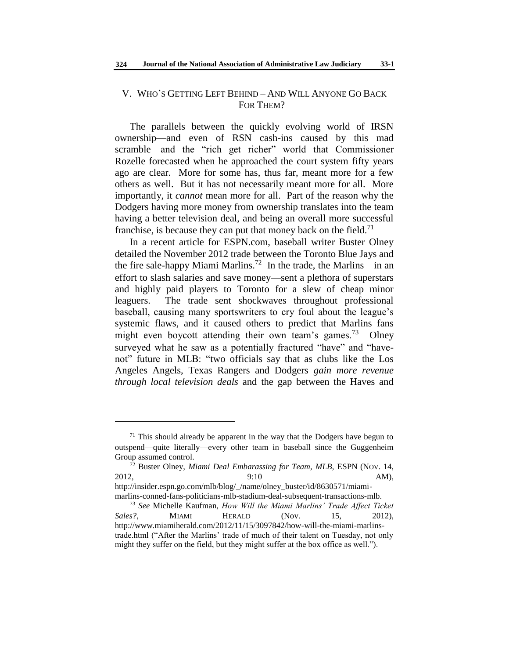# V. WHO'S GETTING LEFT BEHIND – AND WILL ANYONE GO BACK FOR THEM?

The parallels between the quickly evolving world of IRSN ownership—and even of RSN cash-ins caused by this mad scramble—and the "rich get richer" world that Commissioner Rozelle forecasted when he approached the court system fifty years ago are clear. More for some has, thus far, meant more for a few others as well. But it has not necessarily meant more for all. More importantly, it *cannot* mean more for all. Part of the reason why the Dodgers having more money from ownership translates into the team having a better television deal, and being an overall more successful franchise, is because they can put that money back on the field.<sup>71</sup>

In a recent article for ESPN.com, baseball writer Buster Olney detailed the November 2012 trade between the Toronto Blue Jays and the fire sale-happy Miami Marlins.<sup>72</sup> In the trade, the Marlins—in an effort to slash salaries and save money—sent a plethora of superstars and highly paid players to Toronto for a slew of cheap minor leaguers. The trade sent shockwaves throughout professional baseball, causing many sportswriters to cry foul about the league's systemic flaws, and it caused others to predict that Marlins fans might even boycott attending their own team's games.<sup>73</sup> Olney surveyed what he saw as a potentially fractured "have" and "havenot" future in MLB: "two officials say that as clubs like the Los Angeles Angels, Texas Rangers and Dodgers *gain more revenue through local television deals* and the gap between the Haves and

 $71$  This should already be apparent in the way that the Dodgers have begun to outspend—quite literally—every other team in baseball since the Guggenheim Group assumed control.

<sup>&</sup>lt;sup>72</sup> Buster Olney, *Miami Deal Embarassing for Team, MLB*, ESPN (NOV. 14, 2012, 2012, 2012, 2012, 2012, 2012, 2012, 2012, 2012, 2012, 2013, 2014, 2014, 2014

http://insider.espn.go.com/mlb/blog/\_/name/olney\_buster/id/8630571/miamimarlins-conned-fans-politicians-mlb-stadium-deal-subsequent-transactions-mlb.

<sup>73</sup> *See* Michelle Kaufman, *How Will the Miami Marlins' Trade Affect Ticket Sales?*, MIAMI HERALD (Nov. 15, 2012), http://www.miamiherald.com/2012/11/15/3097842/how-will-the-miami-marlinstrade.html ("After the Marlins' trade of much of their talent on Tuesday, not only might they suffer on the field, but they might suffer at the box office as well.").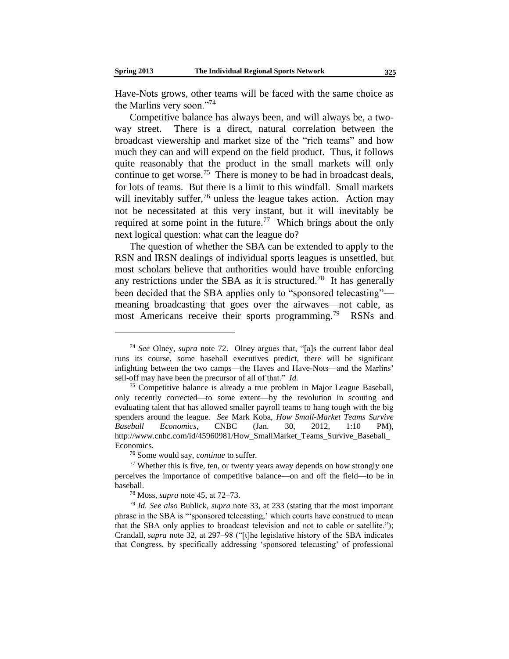Have-Nots grows, other teams will be faced with the same choice as the Marlins very soon."<sup>74</sup>

Competitive balance has always been, and will always be, a twoway street. There is a direct, natural correlation between the broadcast viewership and market size of the "rich teams" and how much they can and will expend on the field product. Thus, it follows quite reasonably that the product in the small markets will only continue to get worse.<sup>75</sup> There is money to be had in broadcast deals, for lots of teams. But there is a limit to this windfall. Small markets will inevitably suffer,<sup>76</sup> unless the league takes action. Action may not be necessitated at this very instant, but it will inevitably be required at some point in the future.<sup>77</sup> Which brings about the only next logical question: what can the league do?

The question of whether the SBA can be extended to apply to the RSN and IRSN dealings of individual sports leagues is unsettled, but most scholars believe that authorities would have trouble enforcing any restrictions under the SBA as it is structured.<sup>78</sup> It has generally been decided that the SBA applies only to "sponsored telecasting" meaning broadcasting that goes over the airwaves—not cable, as most Americans receive their sports programming.<sup>79</sup> RSNs and

<sup>74</sup> *See* Olney, *supra* note 72. Olney argues that, "[a]s the current labor deal runs its course, some baseball executives predict, there will be significant infighting between the two camps—the Haves and Have-Nots—and the Marlins' sell-off may have been the precursor of all of that." *Id.*

<sup>&</sup>lt;sup>75</sup> Competitive balance is already a true problem in Major League Baseball, only recently corrected—to some extent—by the revolution in scouting and evaluating talent that has allowed smaller payroll teams to hang tough with the big spenders around the league. *See* Mark Koba, *How Small-Market Teams Survive Baseball Economics*, CNBC (Jan. 30, 2012, 1:10 PM), http://www.cnbc.com/id/45960981/How\_SmallMarket\_Teams\_Survive\_Baseball\_ Economics.

<sup>76</sup> Some would say, *continue* to suffer.

<sup>77</sup> Whether this is five, ten, or twenty years away depends on how strongly one perceives the importance of competitive balance—on and off the field—to be in baseball.

<sup>78</sup> Moss*, supra* note 45, at 72–73.

<sup>79</sup> *Id. See also* Bublick, *supra* note 33, at 233 (stating that the most important phrase in the SBA is "'sponsored telecasting,' which courts have construed to mean that the SBA only applies to broadcast television and not to cable or satellite."); Crandall*, supra* note 32, at 297–98 ("[t]he legislative history of the SBA indicates that Congress, by specifically addressing 'sponsored telecasting' of professional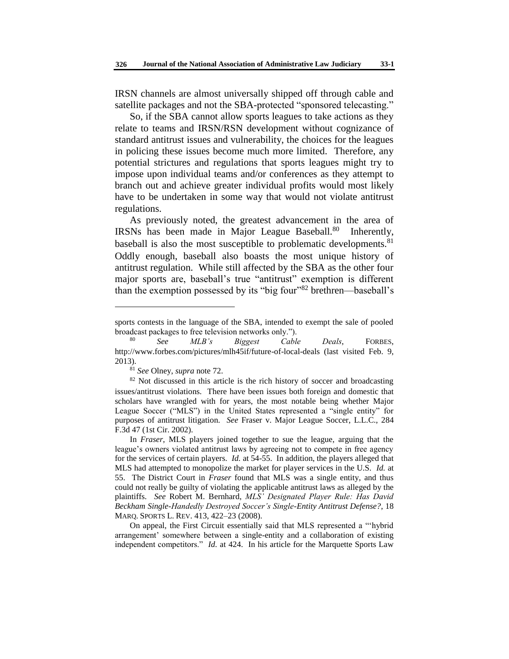IRSN channels are almost universally shipped off through cable and satellite packages and not the SBA-protected "sponsored telecasting."

So, if the SBA cannot allow sports leagues to take actions as they relate to teams and IRSN/RSN development without cognizance of standard antitrust issues and vulnerability, the choices for the leagues in policing these issues become much more limited. Therefore, any potential strictures and regulations that sports leagues might try to impose upon individual teams and/or conferences as they attempt to branch out and achieve greater individual profits would most likely have to be undertaken in some way that would not violate antitrust regulations.

As previously noted, the greatest advancement in the area of IRSNs has been made in Major League Baseball.<sup>80</sup> Inherently, baseball is also the most susceptible to problematic developments.<sup>81</sup> Oddly enough, baseball also boasts the most unique history of antitrust regulation. While still affected by the SBA as the other four major sports are, baseball's true "antitrust" exemption is different than the exemption possessed by its "big four"<sup>82</sup> brethren—baseball's

<sup>81</sup> *See* Olney, *supra* note 72.

l

On appeal, the First Circuit essentially said that MLS represented a "'hybrid arrangement' somewhere between a single-entity and a collaboration of existing independent competitors." *Id.* at 424. In his article for the Marquette Sports Law

sports contests in the language of the SBA, intended to exempt the sale of pooled broadcast packages to free television networks only.").

<sup>80</sup> *See MLB's Biggest Cable Deals*, FORBES, http://www.forbes.com/pictures/mlh45if/future-of-local-deals (last visited Feb. 9, 2013).

 $82$  Not discussed in this article is the rich history of soccer and broadcasting issues/antitrust violations. There have been issues both foreign and domestic that scholars have wrangled with for years, the most notable being whether Major League Soccer ("MLS") in the United States represented a "single entity" for purposes of antitrust litigation. *See* Fraser v. Major League Soccer, L.L.C., 284 F.3d 47 (1st Cir. 2002).

In *Fraser*, MLS players joined together to sue the league, arguing that the league's owners violated antitrust laws by agreeing not to compete in free agency for the services of certain players. *Id.* at 54-55. In addition, the players alleged that MLS had attempted to monopolize the market for player services in the U.S. *Id.* at 55. The District Court in *Fraser* found that MLS was a single entity, and thus could not really be guilty of violating the applicable antitrust laws as alleged by the plaintiffs. *See* Robert M. Bernhard, *MLS' Designated Player Rule: Has David Beckham Single-Handedly Destroyed Soccer's Single-Entity Antitrust Defense?*, 18 MARQ. SPORTS L. REV. 413, 422–23 (2008).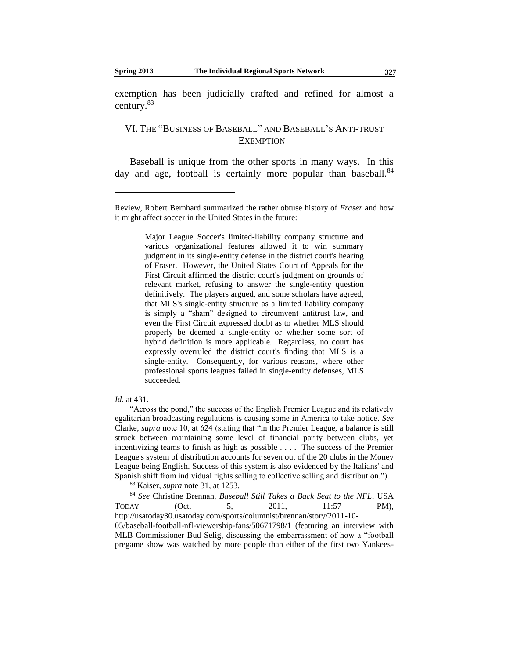exemption has been judicially crafted and refined for almost a century.<sup>83</sup>

# VI. THE "BUSINESS OF BASEBALL" AND BASEBALL'S ANTI-TRUST **EXEMPTION**

Baseball is unique from the other sports in many ways. In this day and age, football is certainly more popular than baseball.<sup>84</sup>

Major League Soccer's limited-liability company structure and various organizational features allowed it to win summary judgment in its single-entity defense in the district court's hearing of Fraser. However, the United States Court of Appeals for the First Circuit affirmed the district court's judgment on grounds of relevant market, refusing to answer the single-entity question definitively. The players argued, and some scholars have agreed, that MLS's single-entity structure as a limited liability company is simply a "sham" designed to circumvent antitrust law, and even the First Circuit expressed doubt as to whether MLS should properly be deemed a single-entity or whether some sort of hybrid definition is more applicable. Regardless, no court has expressly overruled the district court's finding that MLS is a single-entity. Consequently, for various reasons, where other professional sports leagues failed in single-entity defenses, MLS succeeded.

#### *Id.* at 431.

"Across the pond," the success of the English Premier League and its relatively egalitarian broadcasting regulations is causing some in America to take notice. *See* Clarke*, supra* note 10, at 624 (stating that "in the Premier League, a balance is still struck between maintaining some level of financial parity between clubs, yet incentivizing teams to finish as high as possible . . . . The success of the Premier League's system of distribution accounts for seven out of the 20 clubs in the Money League being English. Success of this system is also evidenced by the Italians' and Spanish shift from individual rights selling to collective selling and distribution.").

<sup>83</sup> Kaiser, *supra* note 31, at 1253.

<sup>84</sup> *See* Christine Brennan, *Baseball Still Takes a Back Seat to the NFL*, USA TODAY (Oct. 5, 2011, 11:57 PM), http://usatoday30.usatoday.com/sports/columnist/brennan/story/2011-10- 05/baseball-football-nfl-viewership-fans/50671798/1 (featuring an interview with MLB Commissioner Bud Selig, discussing the embarrassment of how a "football pregame show was watched by more people than either of the first two Yankees-

Review, Robert Bernhard summarized the rather obtuse history of *Fraser* and how it might affect soccer in the United States in the future: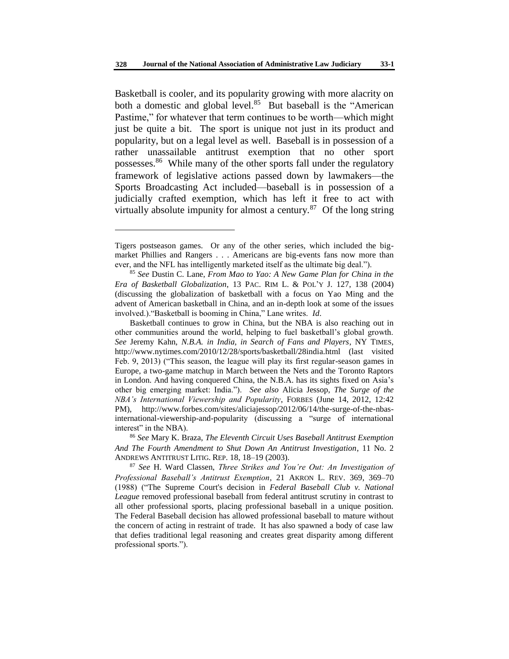Basketball is cooler, and its popularity growing with more alacrity on both a domestic and global level.<sup>85</sup> But baseball is the "American Pastime," for whatever that term continues to be worth—which might just be quite a bit. The sport is unique not just in its product and popularity, but on a legal level as well. Baseball is in possession of a rather unassailable antitrust exemption that no other sport possesses.<sup>86</sup> While many of the other sports fall under the regulatory framework of legislative actions passed down by lawmakers—the Sports Broadcasting Act included—baseball is in possession of a judicially crafted exemption, which has left it free to act with virtually absolute impunity for almost a century. $87$  Of the long string

l

<sup>86</sup> *See* Mary K. Braza, *The Eleventh Circuit Uses Baseball Antitrust Exemption And The Fourth Amendment to Shut Down An Antitrust Investigation*, 11 No. 2 ANDREWS ANTITRUST LITIG. REP. 18, 18–19 (2003).

Tigers postseason games. Or any of the other series, which included the bigmarket Phillies and Rangers . . . Americans are big-events fans now more than ever, and the NFL has intelligently marketed itself as the ultimate big deal.").

<sup>85</sup> *See* Dustin C. Lane, *From Mao to Yao: A New Game Plan for China in the Era of Basketball Globalization*, 13 PAC. RIM L. & POL'Y J. 127, 138 (2004) (discussing the globalization of basketball with a focus on Yao Ming and the advent of American basketball in China, and an in-depth look at some of the issues involved.)."Basketball is booming in China," Lane writes. *Id*.

Basketball continues to grow in China, but the NBA is also reaching out in other communities around the world, helping to fuel basketball's global growth. *See* Jeremy Kahn, *N.B.A. in India, in Search of Fans and Players*, NY TIMES, http://www.nytimes.com/2010/12/28/sports/basketball/28india.html (last visited Feb. 9, 2013) ("This season, the league will play its first regular-season games in Europe, a two-game matchup in March between the Nets and the Toronto Raptors in London. And having conquered China, the N.B.A. has its sights fixed on Asia's other big emerging market: India."). *See also* Alicia Jessop, *The Surge of the NBA's International Viewership and Popularity*, FORBES (June 14, 2012, 12:42 PM), http://www.forbes.com/sites/aliciajessop/2012/06/14/the-surge-of-the-nbasinternational-viewership-and-popularity (discussing a "surge of international interest" in the NBA).

<sup>87</sup> *See* H. Ward Classen, *Three Strikes and You're Out: An Investigation of Professional Baseball's Antitrust Exemption*, 21 AKRON L. REV. 369, 369–70 (1988) ("The Supreme Court's decision in *Federal Baseball Club v. National League* removed professional baseball from federal antitrust scrutiny in contrast to all other professional sports, placing professional baseball in a unique position. The Federal Baseball decision has allowed professional baseball to mature without the concern of acting in restraint of trade. It has also spawned a body of case law that defies traditional legal reasoning and creates great disparity among different professional sports.").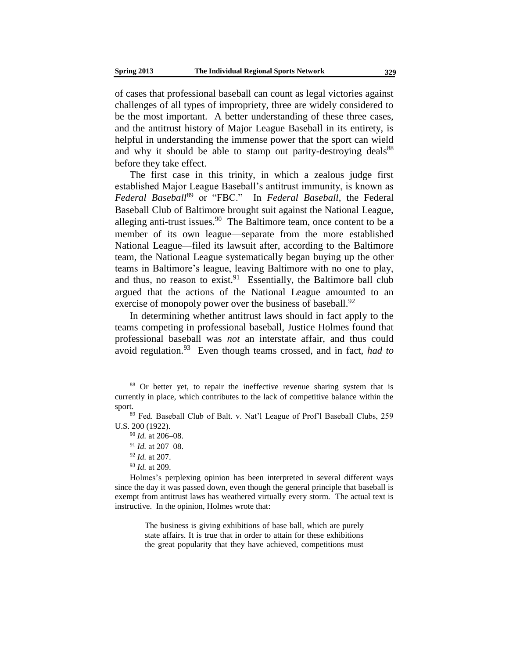of cases that professional baseball can count as legal victories against challenges of all types of impropriety, three are widely considered to be the most important. A better understanding of these three cases, and the antitrust history of Major League Baseball in its entirety, is helpful in understanding the immense power that the sport can wield and why it should be able to stamp out parity-destroying deals<sup>88</sup> before they take effect.

The first case in this trinity, in which a zealous judge first established Major League Baseball's antitrust immunity, is known as *Federal Baseball*<sup>89</sup> or "FBC." In *Federal Baseball*, the Federal Baseball Club of Baltimore brought suit against the National League, alleging anti-trust issues. $90$  The Baltimore team, once content to be a member of its own league—separate from the more established National League—filed its lawsuit after, according to the Baltimore team, the National League systematically began buying up the other teams in Baltimore's league, leaving Baltimore with no one to play, and thus, no reason to exist.  $91$  Essentially, the Baltimore ball club argued that the actions of the National League amounted to an exercise of monopoly power over the business of baseball.<sup>92</sup>

In determining whether antitrust laws should in fact apply to the teams competing in professional baseball, Justice Holmes found that professional baseball was *not* an interstate affair, and thus could avoid regulation.<sup>93</sup> Even though teams crossed, and in fact, *had to*

l

The business is giving exhibitions of base ball, which are purely state affairs. It is true that in order to attain for these exhibitions the great popularity that they have achieved, competitions must

<sup>&</sup>lt;sup>88</sup> Or better yet, to repair the ineffective revenue sharing system that is currently in place, which contributes to the lack of competitive balance within the sport.

<sup>89</sup> Fed. Baseball Club of Balt. v. Nat'l League of Prof'l Baseball Clubs, 259 U.S. 200 (1922).

<sup>90</sup> *Id.* at 206–08.

<sup>91</sup> *Id.* at 207–08.

<sup>92</sup> *Id.* at 207.

<sup>93</sup> *Id.* at 209.

Holmes's perplexing opinion has been interpreted in several different ways since the day it was passed down, even though the general principle that baseball is exempt from antitrust laws has weathered virtually every storm. The actual text is instructive. In the opinion, Holmes wrote that: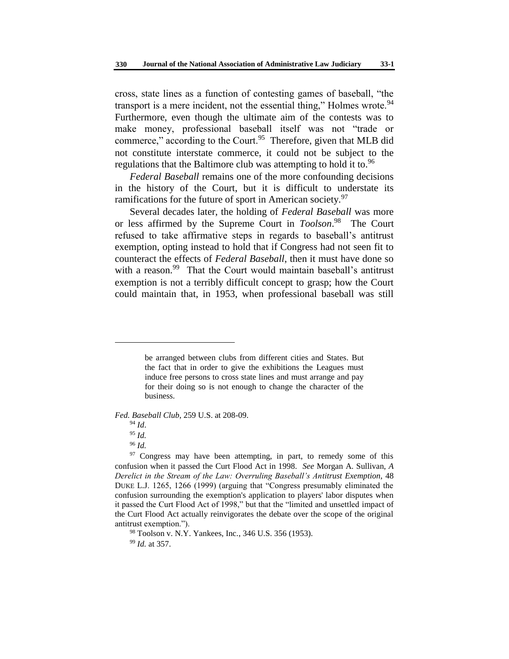cross, state lines as a function of contesting games of baseball, "the transport is a mere incident, not the essential thing," Holmes wrote.<sup>94</sup> Furthermore, even though the ultimate aim of the contests was to make money, professional baseball itself was not "trade or commerce," according to the Court.<sup>95</sup> Therefore, given that MLB did not constitute interstate commerce, it could not be subject to the regulations that the Baltimore club was attempting to hold it to.<sup>96</sup>

*Federal Baseball* remains one of the more confounding decisions in the history of the Court, but it is difficult to understate its ramifications for the future of sport in American society.<sup>97</sup>

Several decades later, the holding of *Federal Baseball* was more or less affirmed by the Supreme Court in *Toolson*. 98 The Court refused to take affirmative steps in regards to baseball's antitrust exemption, opting instead to hold that if Congress had not seen fit to counteract the effects of *Federal Baseball*, then it must have done so with a reason.<sup>99</sup> That the Court would maintain baseball's antitrust exemption is not a terribly difficult concept to grasp; how the Court could maintain that, in 1953, when professional baseball was still

*Fed. Baseball Club*, 259 U.S. at 208-09.

l

<sup>98</sup> Toolson v. N.Y. Yankees, Inc*.*, 346 U.S. 356 (1953).

<sup>99</sup> *Id.* at 357.

be arranged between clubs from different cities and States. But the fact that in order to give the exhibitions the Leagues must induce free persons to cross state lines and must arrange and pay for their doing so is not enough to change the character of the business.

<sup>94</sup> *Id*.

<sup>95</sup> *Id.*

<sup>96</sup> *Id.*

<sup>&</sup>lt;sup>97</sup> Congress may have been attempting, in part, to remedy some of this confusion when it passed the Curt Flood Act in 1998. *See* Morgan A. Sullivan, *A Derelict in the Stream of the Law: Overruling Baseball's Antitrust Exemption*, 48 DUKE L.J. 1265, 1266 (1999) (arguing that "Congress presumably eliminated the confusion surrounding the exemption's application to players' labor disputes when it passed the Curt Flood Act of 1998," but that the "limited and unsettled impact of the Curt Flood Act actually reinvigorates the debate over the scope of the original antitrust exemption.").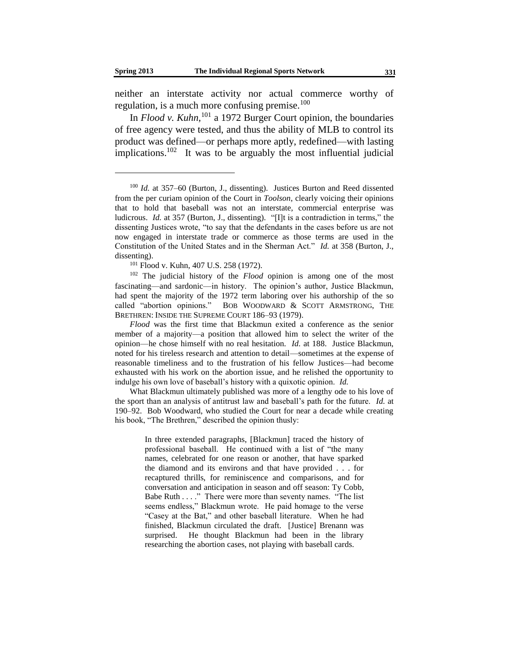neither an interstate activity nor actual commerce worthy of regulation, is a much more confusing premise.<sup>100</sup>

In *Flood v. Kuhn,*<sup>101</sup> a 1972 Burger Court opinion, the boundaries of free agency were tested, and thus the ability of MLB to control its product was defined—or perhaps more aptly, redefined—with lasting implications.<sup>102</sup> It was to be arguably the most influential judicial

<sup>102</sup> The judicial history of the *Flood* opinion is among one of the most fascinating—and sardonic—in history. The opinion's author, Justice Blackmun, had spent the majority of the 1972 term laboring over his authorship of the so called "abortion opinions." BOB WOODWARD & SCOTT ARMSTRONG, THE BRETHREN: INSIDE THE SUPREME COURT 186–93 (1979).

*Flood* was the first time that Blackmun exited a conference as the senior member of a majority—a position that allowed him to select the writer of the opinion—he chose himself with no real hesitation. *Id.* at 188. Justice Blackmun, noted for his tireless research and attention to detail—sometimes at the expense of reasonable timeliness and to the frustration of his fellow Justices—had become exhausted with his work on the abortion issue, and he relished the opportunity to indulge his own love of baseball's history with a quixotic opinion. *Id.*

What Blackmun ultimately published was more of a lengthy ode to his love of the sport than an analysis of antitrust law and baseball's path for the future. *Id.* at 190–92. Bob Woodward, who studied the Court for near a decade while creating his book, "The Brethren," described the opinion thusly:

> In three extended paragraphs, [Blackmun] traced the history of professional baseball. He continued with a list of "the many names, celebrated for one reason or another, that have sparked the diamond and its environs and that have provided . . . for recaptured thrills, for reminiscence and comparisons, and for conversation and anticipation in season and off season: Ty Cobb, Babe Ruth . . . ." There were more than seventy names. "The list seems endless," Blackmun wrote. He paid homage to the verse "Casey at the Bat," and other baseball literature. When he had finished, Blackmun circulated the draft. [Justice] Brenann was surprised. He thought Blackmun had been in the library researching the abortion cases, not playing with baseball cards.

<sup>100</sup> *Id.* at 357–60 (Burton, J., dissenting). Justices Burton and Reed dissented from the per curiam opinion of the Court in *Toolson*, clearly voicing their opinions that to hold that baseball was not an interstate, commercial enterprise was ludicrous. *Id.* at 357 (Burton, J., dissenting). "[I]t is a contradiction in terms," the dissenting Justices wrote, "to say that the defendants in the cases before us are not now engaged in interstate trade or commerce as those terms are used in the Constitution of the United States and in the Sherman Act." *Id.* at 358 (Burton, J., dissenting).

<sup>&</sup>lt;sup>101</sup> Flood v. Kuhn, 407 U.S. 258 (1972).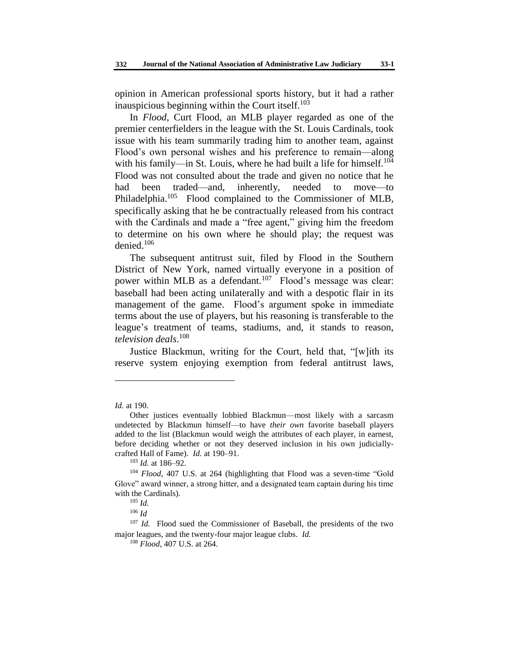opinion in American professional sports history, but it had a rather inauspicious beginning within the Court itself. $103$ 

In *Flood*, Curt Flood, an MLB player regarded as one of the premier centerfielders in the league with the St. Louis Cardinals, took issue with his team summarily trading him to another team, against Flood's own personal wishes and his preference to remain—along with his family—in St. Louis, where he had built a life for himself.<sup>104</sup> Flood was not consulted about the trade and given no notice that he had been traded—and, inherently, needed to move—to Philadelphia.<sup>105</sup> Flood complained to the Commissioner of MLB, specifically asking that he be contractually released from his contract with the Cardinals and made a "free agent," giving him the freedom to determine on his own where he should play; the request was denied. $106$ 

The subsequent antitrust suit, filed by Flood in the Southern District of New York, named virtually everyone in a position of power within MLB as a defendant.<sup>107</sup> Flood's message was clear: baseball had been acting unilaterally and with a despotic flair in its management of the game. Flood's argument spoke in immediate terms about the use of players, but his reasoning is transferable to the league's treatment of teams, stadiums, and, it stands to reason, *television deals*. 108

Justice Blackmun, writing for the Court, held that, "[w]ith its reserve system enjoying exemption from federal antitrust laws,

*Id.* at 190.

Other justices eventually lobbied Blackmun—most likely with a sarcasm undetected by Blackmun himself—to have *their own* favorite baseball players added to the list (Blackmun would weigh the attributes of each player, in earnest, before deciding whether or not they deserved inclusion in his own judiciallycrafted Hall of Fame). *Id.* at 190–91.

<sup>103</sup> *Id.* at 186–92.

<sup>104</sup> *Flood*, 407 U.S. at 264 (highlighting that Flood was a seven-time "Gold Glove" award winner, a strong hitter, and a designated team captain during his time with the Cardinals).

<sup>105</sup> *Id.*

<sup>106</sup> *Id*

<sup>&</sup>lt;sup>107</sup> *Id.* Flood sued the Commissioner of Baseball, the presidents of the two major leagues, and the twenty-four major league clubs. *Id.*

<sup>108</sup> *Flood*, 407 U.S. at 264.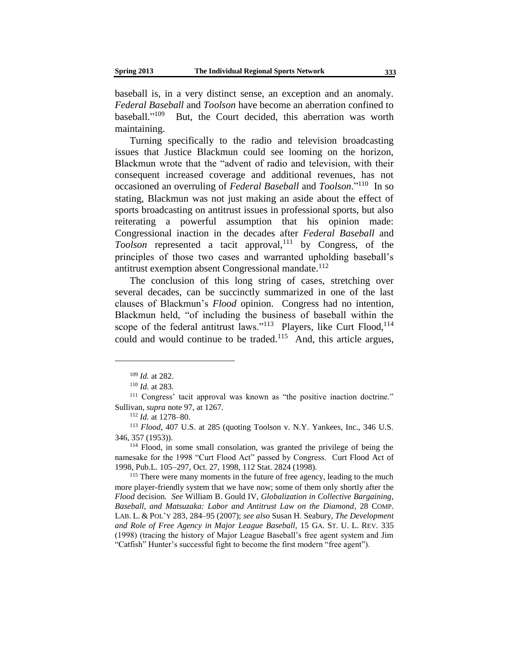baseball is, in a very distinct sense, an exception and an anomaly. *Federal Baseball* and *Toolson* have become an aberration confined to haseball."<sup>109</sup> But, the Court decided, this aberration was worth maintaining.

Turning specifically to the radio and television broadcasting issues that Justice Blackmun could see looming on the horizon, Blackmun wrote that the "advent of radio and television, with their consequent increased coverage and additional revenues, has not occasioned an overruling of *Federal Baseball* and *Toolson*."<sup>110</sup> In so stating, Blackmun was not just making an aside about the effect of sports broadcasting on antitrust issues in professional sports, but also reiterating a powerful assumption that his opinion made: Congressional inaction in the decades after *Federal Baseball* and *Toolson* represented a tacit approval,<sup>111</sup> by Congress, of the principles of those two cases and warranted upholding baseball's antitrust exemption absent Congressional mandate.<sup>112</sup>

The conclusion of this long string of cases, stretching over several decades, can be succinctly summarized in one of the last clauses of Blackmun's *Flood* opinion. Congress had no intention, Blackmun held, "of including the business of baseball within the scope of the federal antitrust laws."<sup>113</sup> Players, like Curt Flood,<sup>114</sup> could and would continue to be traded.<sup>115</sup> And, this article argues,

<sup>109</sup> *Id.* at 282.

<sup>110</sup> *Id.* at 283.

<sup>111</sup> Congress' tacit approval was known as "the positive inaction doctrine." Sullivan, *supra* note 97, at 1267.

<sup>112</sup> *Id.* at 1278–80.

<sup>113</sup> *Flood*, 407 U.S. at 285 (quoting Toolson v. N.Y. Yankees, Inc., 346 U.S. 346, 357 (1953)).

<sup>114</sup> Flood, in some small consolation, was granted the privilege of being the namesake for the 1998 "Curt Flood Act" passed by Congress. Curt Flood Act of 1998, Pub.L. 105–297, Oct. 27, 1998, 112 Stat. 2824 (1998).

<sup>&</sup>lt;sup>115</sup> There were many moments in the future of free agency, leading to the much more player-friendly system that we have now; some of them only shortly after the *Flood* decision. *See* William B. Gould IV, *Globalization in Collective Bargaining, Baseball, and Matsuzaka: Labor and Antitrust Law on the Diamond*, 28 COMP. LAB. L. & POL'Y 283, 284–95 (2007); *see also* Susan H. Seabury, *The Development and Role of Free Agency in Major League Baseball*, 15 GA. ST. U. L. REV. 335 (1998) (tracing the history of Major League Baseball's free agent system and Jim "Catfish" Hunter's successful fight to become the first modern "free agent").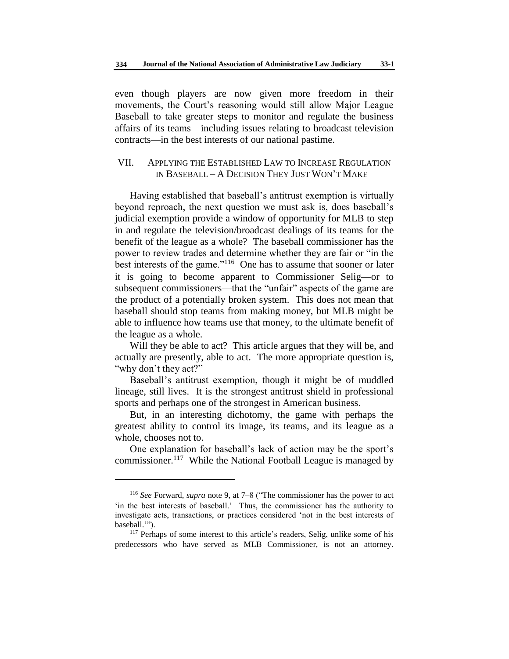even though players are now given more freedom in their movements, the Court's reasoning would still allow Major League Baseball to take greater steps to monitor and regulate the business affairs of its teams—including issues relating to broadcast television contracts—in the best interests of our national pastime.

## VII. APPLYING THE ESTABLISHED LAW TO INCREASE REGULATION IN BASEBALL – A DECISION THEY JUST WON'T MAKE

Having established that baseball's antitrust exemption is virtually beyond reproach, the next question we must ask is, does baseball's judicial exemption provide a window of opportunity for MLB to step in and regulate the television/broadcast dealings of its teams for the benefit of the league as a whole? The baseball commissioner has the power to review trades and determine whether they are fair or "in the best interests of the game."<sup>116</sup> One has to assume that sooner or later it is going to become apparent to Commissioner Selig—or to subsequent commissioners—that the "unfair" aspects of the game are the product of a potentially broken system. This does not mean that baseball should stop teams from making money, but MLB might be able to influence how teams use that money, to the ultimate benefit of the league as a whole.

Will they be able to act? This article argues that they will be, and actually are presently, able to act. The more appropriate question is, "why don't they act?"

Baseball's antitrust exemption, though it might be of muddled lineage, still lives. It is the strongest antitrust shield in professional sports and perhaps one of the strongest in American business.

But, in an interesting dichotomy, the game with perhaps the greatest ability to control its image, its teams, and its league as a whole, chooses not to.

One explanation for baseball's lack of action may be the sport's commissioner.<sup>117</sup> While the National Football League is managed by

<sup>116</sup> *See* Forward, *supra* note 9, at 7–8 ("The commissioner has the power to act 'in the best interests of baseball.' Thus, the commissioner has the authority to investigate acts, transactions, or practices considered 'not in the best interests of baseball.'").

<sup>&</sup>lt;sup>117</sup> Perhaps of some interest to this article's readers, Selig, unlike some of his predecessors who have served as MLB Commissioner, is not an attorney.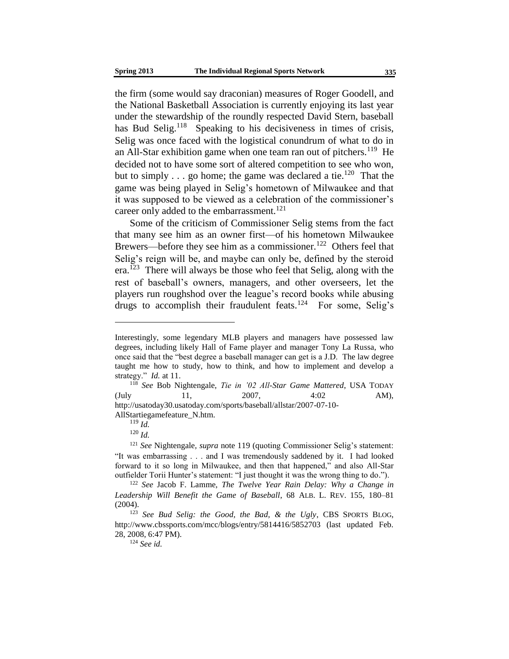the firm (some would say draconian) measures of Roger Goodell, and the National Basketball Association is currently enjoying its last year under the stewardship of the roundly respected David Stern, baseball has Bud Selig.<sup>118</sup> Speaking to his decisiveness in times of crisis, Selig was once faced with the logistical conundrum of what to do in an All-Star exhibition game when one team ran out of pitchers.<sup>119</sup> He decided not to have some sort of altered competition to see who won, but to simply  $\ldots$  go home; the game was declared a tie.<sup>120</sup> That the game was being played in Selig's hometown of Milwaukee and that it was supposed to be viewed as a celebration of the commissioner's career only added to the embarrassment.<sup>121</sup>

Some of the criticism of Commissioner Selig stems from the fact that many see him as an owner first—of his hometown Milwaukee Brewers—before they see him as a commissioner.<sup>122</sup> Others feel that Selig's reign will be, and maybe can only be, defined by the steroid era.<sup>123</sup> There will always be those who feel that Selig, along with the rest of baseball's owners, managers, and other overseers, let the players run roughshod over the league's record books while abusing drugs to accomplish their fraudulent feats.<sup>124</sup> For some, Selig's

AllStartiegamefeature\_N.htm.

l

<sup>124</sup> *See id.*

Interestingly, some legendary MLB players and managers have possessed law degrees, including likely Hall of Fame player and manager Tony La Russa, who once said that the "best degree a baseball manager can get is a J.D. The law degree taught me how to study, how to think, and how to implement and develop a strategy." *Id.* at 11.

<sup>118</sup> *See* Bob Nightengale, *Tie in '02 All-Star Game Mattered*, USA TODAY (July 11, 2007, 4:02 AM), http://usatoday30.usatoday.com/sports/baseball/allstar/2007-07-10-

<sup>119</sup> *Id.*

<sup>120</sup> *Id.*

<sup>121</sup> *See* Nightengale*, supra* note 119 (quoting Commissioner Selig's statement: "It was embarrassing . . . and I was tremendously saddened by it. I had looked forward to it so long in Milwaukee, and then that happened," and also All-Star outfielder Torii Hunter's statement: "I just thought it was the wrong thing to do.").

<sup>122</sup> *See* Jacob F. Lamme, *The Twelve Year Rain Delay: Why a Change in Leadership Will Benefit the Game of Baseball*, 68 ALB. L. REV. 155, 180–81 (2004).

<sup>123</sup> *See Bud Selig: the Good, the Bad, & the Ugly*, CBS SPORTS BLOG, http://www.cbssports.com/mcc/blogs/entry/5814416/5852703 (last updated Feb. 28, 2008, 6:47 PM).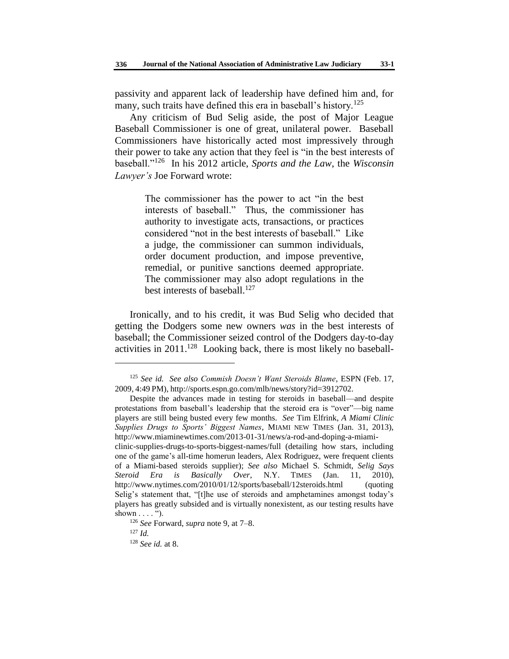passivity and apparent lack of leadership have defined him and, for many, such traits have defined this era in baseball's history.<sup>125</sup>

Any criticism of Bud Selig aside, the post of Major League Baseball Commissioner is one of great, unilateral power. Baseball Commissioners have historically acted most impressively through their power to take any action that they feel is "in the best interests of baseball."<sup>126</sup> In his 2012 article, *Sports and the Law*, the *Wisconsin Lawyer's* Joe Forward wrote:

> The commissioner has the power to act "in the best interests of baseball." Thus, the commissioner has authority to investigate acts, transactions, or practices considered "not in the best interests of baseball." Like a judge, the commissioner can summon individuals, order document production, and impose preventive, remedial, or punitive sanctions deemed appropriate. The commissioner may also adopt regulations in the best interests of baseball.<sup>127</sup>

Ironically, and to his credit, it was Bud Selig who decided that getting the Dodgers some new owners *was* in the best interests of baseball; the Commissioner seized control of the Dodgers day-to-day activities in 2011.<sup>128</sup> Looking back, there is most likely no baseball-

<sup>125</sup> *See id. See also Commish Doesn't Want Steroids Blame*, ESPN (Feb. 17, 2009, 4:49 PM), http://sports.espn.go.com/mlb/news/story?id=3912702.

Despite the advances made in testing for steroids in baseball—and despite protestations from baseball's leadership that the steroid era is "over"—big name players are still being busted every few months. *See* Tim Elfrink, *A Miami Clinic Supplies Drugs to Sports' Biggest Names*, MIAMI NEW TIMES (Jan. 31, 2013), http://www.miaminewtimes.com/2013-01-31/news/a-rod-and-doping-a-miamiclinic-supplies-drugs-to-sports-biggest-names/full (detailing how stars, including one of the game's all-time homerun leaders, Alex Rodriguez, were frequent clients of a Miami-based steroids supplier); *See also* Michael S. Schmidt, *Selig Says Steroid Era is Basically Over*, N.Y. TIMES (Jan. 11, 2010), http://www.nytimes.com/2010/01/12/sports/baseball/12steroids.html (quoting Selig's statement that, "[t]he use of steroids and amphetamines amongst today's players has greatly subsided and is virtually nonexistent, as our testing results have shown . . . . ").

<sup>126</sup> *See* Forward, *supra* note 9, at 7–8.

<sup>127</sup> *Id.*

<sup>128</sup> *See id.* at 8.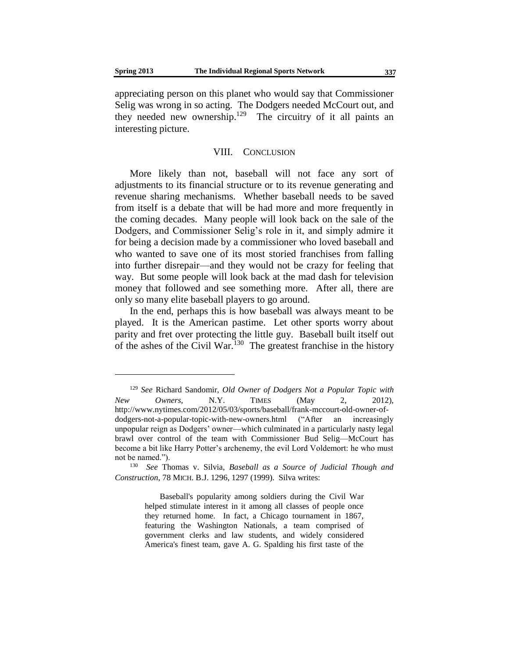appreciating person on this planet who would say that Commissioner Selig was wrong in so acting. The Dodgers needed McCourt out, and they needed new ownership.<sup>129</sup> The circuitry of it all paints an interesting picture.

#### VIII. CONCLUSION

More likely than not, baseball will not face any sort of adjustments to its financial structure or to its revenue generating and revenue sharing mechanisms. Whether baseball needs to be saved from itself is a debate that will be had more and more frequently in the coming decades. Many people will look back on the sale of the Dodgers, and Commissioner Selig's role in it, and simply admire it for being a decision made by a commissioner who loved baseball and who wanted to save one of its most storied franchises from falling into further disrepair—and they would not be crazy for feeling that way. But some people will look back at the mad dash for television money that followed and see something more. After all, there are only so many elite baseball players to go around.

In the end, perhaps this is how baseball was always meant to be played. It is the American pastime. Let other sports worry about parity and fret over protecting the little guy. Baseball built itself out of the ashes of the Civil War.<sup>130</sup> The greatest franchise in the history

<sup>129</sup> *See* Richard Sandomir, *Old Owner of Dodgers Not a Popular Topic with New Owners*, N.Y. TIMES (May 2, 2012), http://www.nytimes.com/2012/05/03/sports/baseball/frank-mccourt-old-owner-ofdodgers-not-a-popular-topic-with-new-owners.html ("After an increasingly unpopular reign as Dodgers' owner—which culminated in a particularly nasty legal brawl over control of the team with Commissioner Bud Selig—McCourt has become a bit like Harry Potter's archenemy, the evil Lord Voldemort: he who must not be named.").

<sup>130</sup> *See* Thomas v. Silvia, *Baseball as a Source of Judicial Though and Construction*, 78 MICH. B.J. 1296, 1297 (1999). Silva writes:

Baseball's popularity among soldiers during the Civil War helped stimulate interest in it among all classes of people once they returned home. In fact, a Chicago tournament in 1867, featuring the Washington Nationals, a team comprised of government clerks and law students, and widely considered America's finest team, gave A. G. Spalding his first taste of the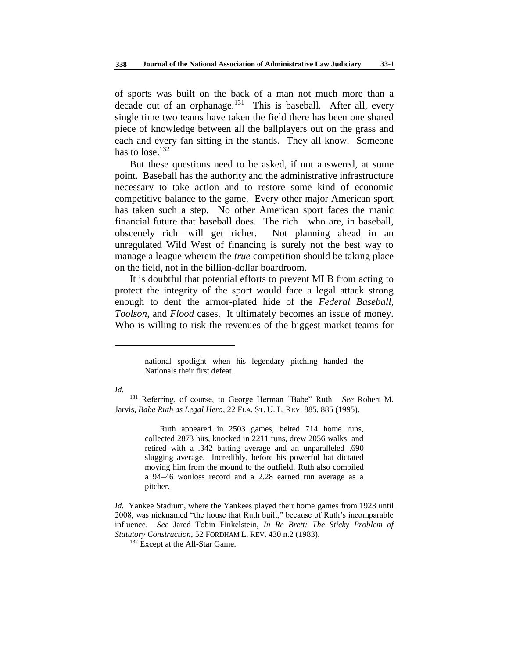of sports was built on the back of a man not much more than a decade out of an orphanage.<sup>131</sup> This is baseball. After all, every single time two teams have taken the field there has been one shared piece of knowledge between all the ballplayers out on the grass and each and every fan sitting in the stands. They all know. Someone has to lose. $132$ 

But these questions need to be asked, if not answered, at some point. Baseball has the authority and the administrative infrastructure necessary to take action and to restore some kind of economic competitive balance to the game. Every other major American sport has taken such a step. No other American sport faces the manic financial future that baseball does. The rich—who are, in baseball, obscenely rich—will get richer. Not planning ahead in an unregulated Wild West of financing is surely not the best way to manage a league wherein the *true* competition should be taking place on the field, not in the billion-dollar boardroom.

It is doubtful that potential efforts to prevent MLB from acting to protect the integrity of the sport would face a legal attack strong enough to dent the armor-plated hide of the *Federal Baseball*, *Toolson*, and *Flood* cases. It ultimately becomes an issue of money. Who is willing to risk the revenues of the biggest market teams for

*Id.*

l

Ruth appeared in 2503 games, belted 714 home runs, collected 2873 hits, knocked in 2211 runs, drew 2056 walks, and retired with a .342 batting average and an unparalleled .690 slugging average. Incredibly, before his powerful bat dictated moving him from the mound to the outfield, Ruth also compiled a 94–46 wonloss record and a 2.28 earned run average as a pitcher.

*Id.* Yankee Stadium, where the Yankees played their home games from 1923 until 2008, was nicknamed "the house that Ruth built," because of Ruth's incomparable influence. *See* Jared Tobin Finkelstein, *In Re Brett: The Sticky Problem of Statutory Construction*, 52 FORDHAM L. REV. 430 n.2 (1983).

<sup>132</sup> Except at the All-Star Game.

national spotlight when his legendary pitching handed the Nationals their first defeat.

<sup>131</sup> Referring, of course, to George Herman "Babe" Ruth. *See* Robert M. Jarvis, *Babe Ruth as Legal Hero*, 22 FLA. ST. U. L. REV. 885, 885 (1995).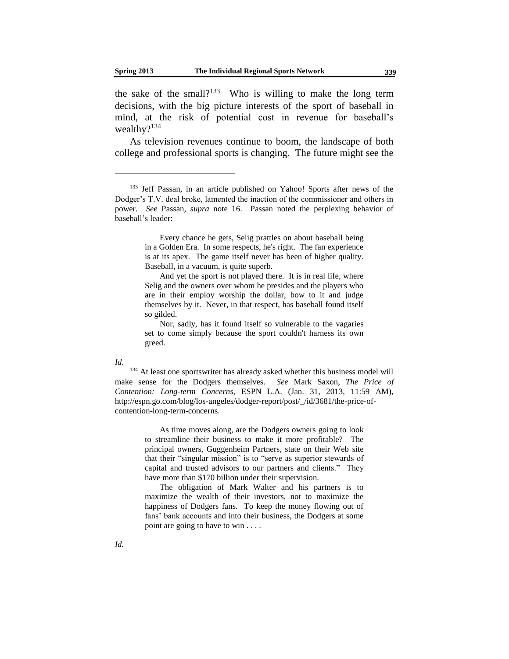the sake of the small?<sup>133</sup> Who is willing to make the long term decisions, with the big picture interests of the sport of baseball in mind, at the risk of potential cost in revenue for baseball's wealthy?<sup>134</sup>

As television revenues continue to boom, the landscape of both college and professional sports is changing. The future might see the

Every chance he gets, Selig prattles on about baseball being in a Golden Era. In some respects, he's right. The fan experience is at its apex. The game itself never has been of higher quality. Baseball, in a vacuum, is quite superb.

And yet the sport is not played there. It is in real life, where Selig and the owners over whom he presides and the players who are in their employ worship the dollar, bow to it and judge themselves by it. Never, in that respect, has baseball found itself so gilded.

Nor, sadly, has it found itself so vulnerable to the vagaries set to come simply because the sport couldn't harness its own greed.

*Id.*

<sup>134</sup> At least one sportswriter has already asked whether this business model will make sense for the Dodgers themselves. *See* Mark Saxon, *The Price of Contention: Long-term Concerns*, ESPN L.A. (Jan. 31, 2013, 11:59 AM), http://espn.go.com/blog/los-angeles/dodger-report/post/\_/id/3681/the-price-ofcontention-long-term-concerns.

> As time moves along, are the Dodgers owners going to look to streamline their business to make it more profitable? The principal owners, Guggenheim Partners, state on their Web site that their "singular mission" is to "serve as superior stewards of capital and trusted advisors to our partners and clients." They have more than \$170 billion under their supervision.

> The obligation of Mark Walter and his partners is to maximize the wealth of their investors, not to maximize the happiness of Dodgers fans. To keep the money flowing out of fans' bank accounts and into their business, the Dodgers at some point are going to have to win . . . .

<sup>&</sup>lt;sup>133</sup> Jeff Passan, in an article published on Yahoo! Sports after news of the Dodger's T.V. deal broke, lamented the inaction of the commissioner and others in power. *See* Passan, *supra* note 16. Passan noted the perplexing behavior of baseball's leader: